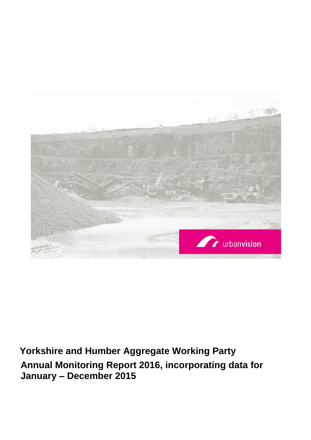

# **Yorkshire and Humber Aggregate Working Party Annual Monitoring Report 2016, incorporating data for January – December 2015**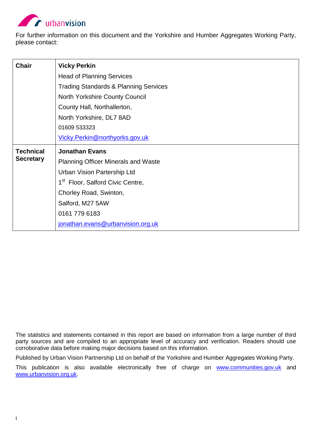

For further information on this document and the Yorkshire and Humber Aggregates Working Party, please contact:

| <b>Chair</b>     | <b>Vicky Perkin</b>                              |
|------------------|--------------------------------------------------|
|                  | <b>Head of Planning Services</b>                 |
|                  | <b>Trading Standards &amp; Planning Services</b> |
|                  | North Yorkshire County Council                   |
|                  | County Hall, Northallerton,                      |
|                  | North Yorkshire, DL7 8AD                         |
|                  | 01609 533323                                     |
|                  | Vicky.Perkin@northyorks.gov.uk                   |
|                  |                                                  |
| <b>Technical</b> | <b>Jonathan Evans</b>                            |
| <b>Secretary</b> | <b>Planning Officer Minerals and Waste</b>       |
|                  | <b>Urban Vision Partership Ltd</b>               |
|                  | 1 <sup>st</sup> Floor, Salford Civic Centre,     |
|                  | Chorley Road, Swinton,                           |
|                  | Salford, M27 5AW                                 |
|                  | 0161 779 6183                                    |

The statistics and statements contained in this report are based on information from a large number of third party sources and are compiled to an appropriate level of accuracy and verification. Readers should use corroborative data before making major decisions based on this information.

Published by Urban Vision Partnership Ltd on behalf of the Yorkshire and Humber Aggregates Working Party.

This publication is also available electronically free of charge on [www.communities.gov.uk](http://www.communities.gov.uk/) and [www.urbanvision.org.uk.](http://www.urbanvision.org.uk/)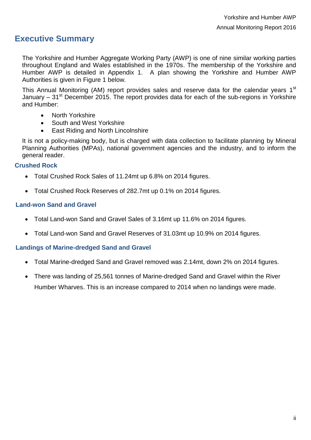# <span id="page-3-0"></span>**Executive Summary**

The Yorkshire and Humber Aggregate Working Party (AWP) is one of nine similar working parties throughout England and Wales established in the 1970s. The membership of the Yorkshire and Humber AWP is detailed in Appendix 1. A plan showing the Yorkshire and Humber AWP Authorities is given in Figure 1 below.

This Annual Monitoring (AM) report provides sales and reserve data for the calendar years 1<sup>st</sup> January –  $31<sup>st</sup>$  December 2015. The report provides data for each of the sub-regions in Yorkshire and Humber:

- North Yorkshire
- South and West Yorkshire
- East Riding and North Lincolnshire

It is not a policy-making body, but is charged with data collection to facilitate planning by Mineral Planning Authorities (MPAs), national government agencies and the industry, and to inform the general reader.

#### **Crushed Rock**

- Total Crushed Rock Sales of 11.24mt up 6.8% on 2014 figures.
- Total Crushed Rock Reserves of 282.7mt up 0.1% on 2014 figures.

#### **Land-won Sand and Gravel**

- Total Land-won Sand and Gravel Sales of 3.16mt up 11.6% on 2014 figures.
- Total Land-won Sand and Gravel Reserves of 31.03mt up 10.9% on 2014 figures.

#### **Landings of Marine-dredged Sand and Gravel**

- Total Marine-dredged Sand and Gravel removed was 2.14mt, down 2% on 2014 figures.
- There was landing of 25,561 tonnes of Marine-dredged Sand and Gravel within the River Humber Wharves. This is an increase compared to 2014 when no landings were made.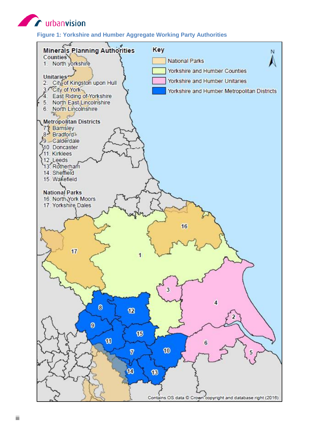<span id="page-4-0"></span>**Contract of Contract On Second** Services

**Figure 1: Yorkshire and Humber Aggregate Working Party Authorities**

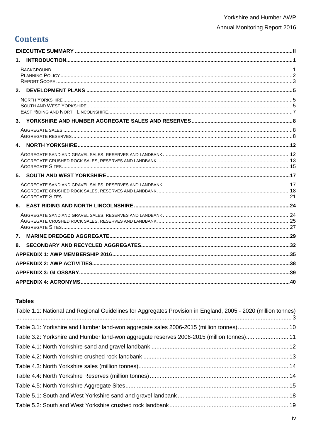# **Contents**

| 7. |  |
|----|--|
| 8. |  |
|    |  |
|    |  |
|    |  |
|    |  |

#### **Tables**

| Table 1.1: National and Regional Guidelines for Aggregates Provision in England, 2005 - 2020 (million tonnes) |  |
|---------------------------------------------------------------------------------------------------------------|--|
| Table 3.1: Yorkshire and Humber land-won aggregate sales 2006-2015 (million tonnes) 10                        |  |
| Table 3.2: Yorkshire and Humber land-won aggregate reserves 2006-2015 (million tonnes) 11                     |  |
|                                                                                                               |  |
|                                                                                                               |  |
|                                                                                                               |  |
|                                                                                                               |  |
|                                                                                                               |  |
|                                                                                                               |  |
|                                                                                                               |  |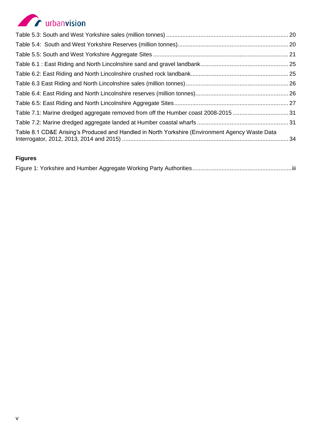# **Exercípion**

| Table 8.1 CD&E Arising's Produced and Handled in North Yorkshire (Environment Agency Waste Data |  |
|-------------------------------------------------------------------------------------------------|--|

## **Figures**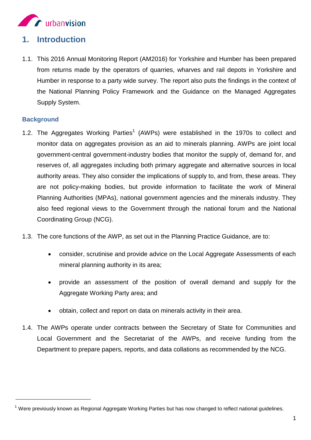

## <span id="page-8-0"></span>**1. Introduction**

1.1. This 2016 Annual Monitoring Report (AM2016) for Yorkshire and Humber has been prepared from returns made by the operators of quarries, wharves and rail depots in Yorkshire and Humber in response to a party wide survey. The report also puts the findings in the context of the National Planning Policy Framework and the Guidance on the Managed Aggregates Supply System.

#### <span id="page-8-1"></span>**Background**

-

- 1.2. The Aggregates Working Parties<sup>1</sup> (AWPs) were established in the 1970s to collect and monitor data on aggregates provision as an aid to minerals planning. AWPs are joint local government-central government-industry bodies that monitor the supply of, demand for, and reserves of, all aggregates including both primary aggregate and alternative sources in local authority areas. They also consider the implications of supply to, and from, these areas. They are not policy-making bodies, but provide information to facilitate the work of Mineral Planning Authorities (MPAs), national government agencies and the minerals industry. They also feed regional views to the Government through the national forum and the National Coordinating Group (NCG).
- 1.3. The core functions of the AWP, as set out in the Planning Practice Guidance, are to:
	- consider, scrutinise and provide advice on the Local Aggregate Assessments of each mineral planning authority in its area;
	- provide an assessment of the position of overall demand and supply for the Aggregate Working Party area; and
	- obtain, collect and report on data on minerals activity in their area.
- 1.4. The AWPs operate under contracts between the Secretary of State for Communities and Local Government and the Secretariat of the AWPs, and receive funding from the Department to prepare papers, reports, and data collations as recommended by the NCG.

 $1$  Were previously known as Regional Aggregate Working Parties but has now changed to reflect national guidelines.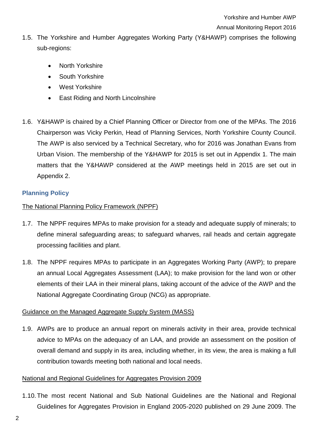#### Annual Monitoring Report 2016

- 1.5. The Yorkshire and Humber Aggregates Working Party (Y&HAWP) comprises the following sub-regions:
	- North Yorkshire
	- South Yorkshire
	- West Yorkshire
	- East Riding and North Lincolnshire
- 1.6. Y&HAWP is chaired by a Chief Planning Officer or Director from one of the MPAs. The 2016 Chairperson was Vicky Perkin, Head of Planning Services, North Yorkshire County Council. The AWP is also serviced by a Technical Secretary, who for 2016 was Jonathan Evans from Urban Vision. The membership of the Y&HAWP for 2015 is set out in Appendix 1. The main matters that the Y&HAWP considered at the AWP meetings held in 2015 are set out in Appendix 2.

### <span id="page-9-0"></span>**Planning Policy**

#### The National Planning Policy Framework (NPPF)

- 1.7. The NPPF requires MPAs to make provision for a steady and adequate supply of minerals; to define mineral safeguarding areas; to safeguard wharves, rail heads and certain aggregate processing facilities and plant.
- 1.8. The NPPF requires MPAs to participate in an Aggregates Working Party (AWP); to prepare an annual Local Aggregates Assessment (LAA); to make provision for the land won or other elements of their LAA in their mineral plans, taking account of the advice of the AWP and the National Aggregate Coordinating Group (NCG) as appropriate.

#### Guidance on the Managed Aggregate Supply System (MASS)

1.9. AWPs are to produce an annual report on minerals activity in their area, provide technical advice to MPAs on the adequacy of an LAA, and provide an assessment on the position of overall demand and supply in its area, including whether, in its view, the area is making a full contribution towards meeting both national and local needs.

#### National and Regional Guidelines for Aggregates Provision 2009

1.10.The most recent National and Sub National Guidelines are the National and Regional Guidelines for Aggregates Provision in England 2005-2020 published on 29 June 2009. The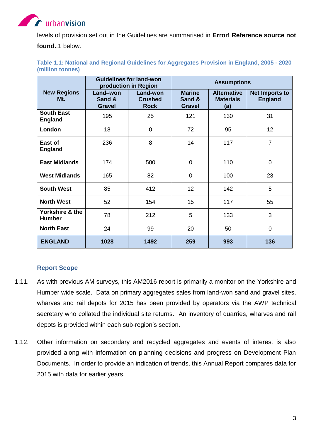# **A** urbanvision

levels of provision set out in the Guidelines are summarised in **Error! Reference source not** 

**found.**.1 below.

<span id="page-10-1"></span>

| Table 1.1: National and Regional Guidelines for Aggregates Provision in England, 2005 - 2020 |  |  |  |
|----------------------------------------------------------------------------------------------|--|--|--|
| (million tonnes)                                                                             |  |  |  |

|                                     |                                     | <b>Guidelines for land-won</b><br>production in Region |                                          | <b>Assumptions</b>                            |                                         |
|-------------------------------------|-------------------------------------|--------------------------------------------------------|------------------------------------------|-----------------------------------------------|-----------------------------------------|
| <b>New Regions</b><br>Mt.           | Land-won<br>Sand &<br><b>Gravel</b> | Land-won<br><b>Crushed</b><br><b>Rock</b>              | <b>Marine</b><br>Sand &<br><b>Gravel</b> | <b>Alternative</b><br><b>Materials</b><br>(a) | <b>Net Imports to</b><br><b>England</b> |
| <b>South East</b><br><b>England</b> | 195                                 | 25                                                     | 121                                      | 130                                           | 31                                      |
| London                              | 18                                  | 0                                                      | 72                                       | 95                                            | 12                                      |
| East of<br><b>England</b>           | 236                                 | 8                                                      | 14                                       | 117                                           | $\overline{7}$                          |
| <b>East Midlands</b>                | 174                                 | 500                                                    | $\mathbf 0$                              | 110                                           | $\mathbf 0$                             |
| <b>West Midlands</b>                | 165                                 | 82                                                     | $\overline{0}$                           | 100                                           | 23                                      |
| <b>South West</b>                   | 85                                  | 412                                                    | 12                                       | 142                                           | 5                                       |
| <b>North West</b>                   | 52                                  | 154                                                    | 15                                       | 117                                           | 55                                      |
| Yorkshire & the<br><b>Humber</b>    | 78                                  | 212                                                    | 5                                        | 133                                           | 3                                       |
| <b>North East</b>                   | 24                                  | 99                                                     | 20                                       | 50                                            | $\overline{0}$                          |
| <b>ENGLAND</b>                      | 1028                                | 1492                                                   | 259                                      | 993                                           | 136                                     |

### **Report Scope**

- <span id="page-10-0"></span>1.11. As with previous AM surveys, this AM2016 report is primarily a monitor on the Yorkshire and Humber wide scale. Data on primary aggregates sales from land-won sand and gravel sites, wharves and rail depots for 2015 has been provided by operators via the AWP technical secretary who collated the individual site returns. An inventory of quarries, wharves and rail depots is provided within each sub-region's section.
- 1.12. Other information on secondary and recycled aggregates and events of interest is also provided along with information on planning decisions and progress on Development Plan Documents. In order to provide an indication of trends, this Annual Report compares data for 2015 with data for earlier years.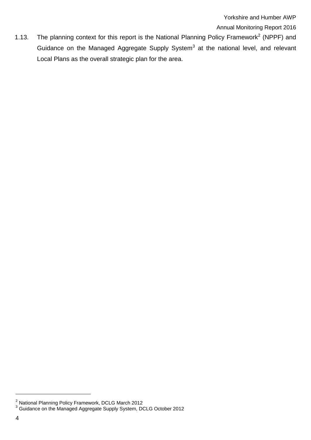Annual Monitoring Report 2016

1.13. The planning context for this report is the National Planning Policy Framework<sup>2</sup> (NPPF) and Guidance on the Managed Aggregate Supply System<sup>3</sup> at the national level, and relevant Local Plans as the overall strategic plan for the area.

-

<sup>&</sup>lt;sup>2</sup> National Planning Policy Framework, DCLG March 2012

<sup>&</sup>lt;sup>3</sup> Guidance on the Managed Aggregate Supply System, DCLG October 2012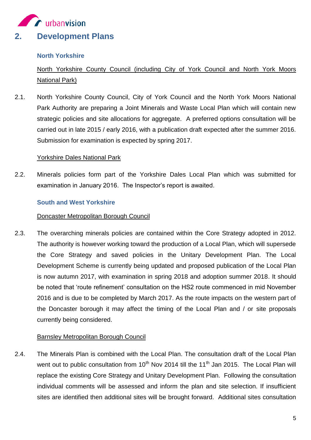<span id="page-12-0"></span>

#### <span id="page-12-1"></span>**North Yorkshire**

North Yorkshire County Council (including City of York Council and North York Moors National Park)

2.1. North Yorkshire County Council, City of York Council and the North York Moors National Park Authority are preparing a Joint Minerals and Waste Local Plan which will contain new strategic policies and site allocations for aggregate. A preferred options consultation will be carried out in late 2015 / early 2016, with a publication draft expected after the summer 2016. Submission for examination is expected by spring 2017.

#### Yorkshire Dales National Park

2.2. Minerals policies form part of the Yorkshire Dales Local Plan which was submitted for examination in January 2016. The Inspector's report is awaited.

#### <span id="page-12-2"></span>**South and West Yorkshire**

#### Doncaster Metropolitan Borough Council

2.3. The overarching minerals policies are contained within the Core Strategy adopted in 2012. The authority is however working toward the production of a Local Plan, which will supersede the Core Strategy and saved policies in the Unitary Development Plan. The Local Development Scheme is currently being updated and proposed publication of the Local Plan is now autumn 2017, with examination in spring 2018 and adoption summer 2018. It should be noted that 'route refinement' consultation on the HS2 route commenced in mid November 2016 and is due to be completed by March 2017. As the route impacts on the western part of the Doncaster borough it may affect the timing of the Local Plan and / or site proposals currently being considered.

#### Barnsley Metropolitan Borough Council

2.4. The Minerals Plan is combined with the Local Plan. The consultation draft of the Local Plan went out to public consultation from 10<sup>th</sup> Nov 2014 till the 11<sup>th</sup> Jan 2015. The Local Plan will replace the existing Core Strategy and Unitary Development Plan. Following the consultation individual comments will be assessed and inform the plan and site selection. If insufficient sites are identified then additional sites will be brought forward. Additional sites consultation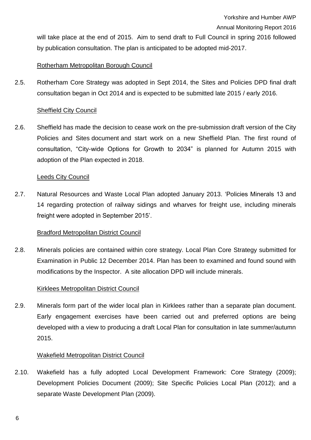Annual Monitoring Report 2016

will take place at the end of 2015. Aim to send draft to Full Council in spring 2016 followed by publication consultation. The plan is anticipated to be adopted mid-2017.

#### Rotherham Metropolitan Borough Council

2.5. Rotherham Core Strategy was adopted in Sept 2014, the Sites and Policies DPD final draft consultation began in Oct 2014 and is expected to be submitted late 2015 / early 2016.

#### Sheffield City Council

2.6. Sheffield has made the decision to cease work on the pre-submission draft version of the City Policies and Sites document and start work on a new Sheffield Plan. The first round of consultation, "City-wide Options for Growth to 2034" is planned for Autumn 2015 with adoption of the Plan expected in 2018.

#### Leeds City Council

2.7. Natural Resources and Waste Local Plan adopted January 2013. 'Policies Minerals 13 and 14 regarding protection of railway sidings and wharves for freight use, including minerals freight were adopted in September 2015'.

#### Bradford Metropolitan District Council

2.8. Minerals policies are contained within core strategy. Local Plan Core Strategy submitted for Examination in Public 12 December 2014. Plan has been to examined and found sound with modifications by the Inspector. A site allocation DPD will include minerals.

#### Kirklees Metropolitan District Council

2.9. Minerals form part of the wider local plan in Kirklees rather than a separate plan document. Early engagement exercises have been carried out and preferred options are being developed with a view to producing a draft Local Plan for consultation in late summer/autumn 2015.

#### Wakefield Metropolitan District Council

2.10. Wakefield has a fully adopted Local Development Framework: Core Strategy (2009); Development Policies Document (2009); Site Specific Policies Local Plan (2012); and a separate Waste Development Plan (2009).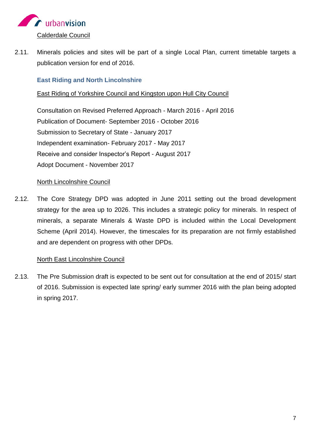

2.11. Minerals policies and sites will be part of a single Local Plan, current timetable targets a publication version for end of 2016.

#### <span id="page-14-0"></span>**East Riding and North Lincolnshire**

#### East Riding of Yorkshire Council and Kingston upon Hull City Council

Consultation on Revised Preferred Approach - March 2016 - April 2016 Publication of Document- September 2016 - October 2016 Submission to Secretary of State - January 2017 Independent examination- February 2017 - May 2017 Receive and consider Inspector's Report - August 2017 Adopt Document - November 2017

#### North Lincolnshire Council

2.12. The Core Strategy DPD was adopted in June 2011 setting out the broad development strategy for the area up to 2026. This includes a strategic policy for minerals. In respect of minerals, a separate Minerals & Waste DPD is included within the Local Development Scheme (April 2014). However, the timescales for its preparation are not firmly established and are dependent on progress with other DPDs*.*

#### North East Lincolnshire Council

2.13. The Pre Submission draft is expected to be sent out for consultation at the end of 2015/ start of 2016. Submission is expected late spring/ early summer 2016 with the plan being adopted in spring 2017.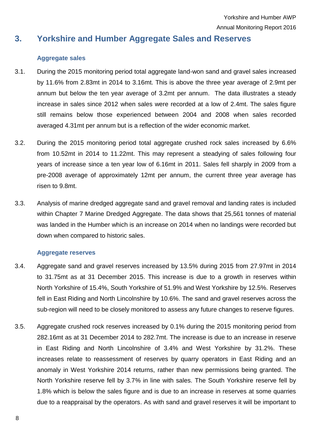Yorkshire and Humber AWP Annual Monitoring Report 2016

# <span id="page-15-0"></span>**3. Yorkshire and Humber Aggregate Sales and Reserves**

#### **Aggregate sales**

- <span id="page-15-1"></span>3.1. During the 2015 monitoring period total aggregate land-won sand and gravel sales increased by 11.6% from 2.83mt in 2014 to 3.16mt. This is above the three year average of 2.9mt per annum but below the ten year average of 3.2mt per annum. The data illustrates a steady increase in sales since 2012 when sales were recorded at a low of 2.4mt. The sales figure still remains below those experienced between 2004 and 2008 when sales recorded averaged 4.31mt per annum but is a reflection of the wider economic market.
- 3.2. During the 2015 monitoring period total aggregate crushed rock sales increased by 6.6% from 10.52mt in 2014 to 11.22mt. This may represent a steadying of sales following four years of increase since a ten year low of 6.16mt in 2011. Sales fell sharply in 2009 from a pre-2008 average of approximately 12mt per annum, the current three year average has risen to 9.8mt.
- 3.3. Analysis of marine dredged aggregate sand and gravel removal and landing rates is included within Chapter 7 Marine Dredged Aggregate. The data shows that 25,561 tonnes of material was landed in the Humber which is an increase on 2014 when no landings were recorded but down when compared to historic sales.

#### **Aggregate reserves**

- <span id="page-15-2"></span>3.4. Aggregate sand and gravel reserves increased by 13.5% during 2015 from 27.97mt in 2014 to 31.75mt as at 31 December 2015. This increase is due to a growth in reserves within North Yorkshire of 15.4%, South Yorkshire of 51.9% and West Yorkshire by 12.5%. Reserves fell in East Riding and North Lincolnshire by 10.6%. The sand and gravel reserves across the sub-region will need to be closely monitored to assess any future changes to reserve figures.
- 3.5. Aggregate crushed rock reserves increased by 0.1% during the 2015 monitoring period from 282.16mt as at 31 December 2014 to 282.7mt. The increase is due to an increase in reserve in East Riding and North Lincolnshire of 3.4% and West Yorkshire by 31.2%. These increases relate to reassessment of reserves by quarry operators in East Riding and an anomaly in West Yorkshire 2014 returns, rather than new permissions being granted. The North Yorkshire reserve fell by 3.7% in line with sales. The South Yorkshire reserve fell by 1.8% which is below the sales figure and is due to an increase in reserves at some quarries due to a reappraisal by the operators. As with sand and gravel reserves it will be important to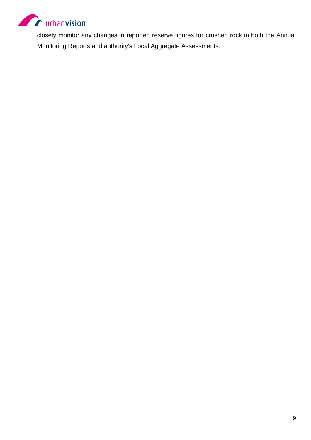

closely monitor any changes in reported reserve figures for crushed rock in both the Annual Monitoring Reports and authority's Local Aggregate Assessments.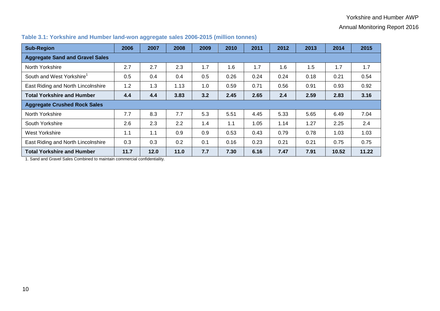#### Yorkshire and Humber AWP

Annual Monitoring Report 2016

| <b>Sub-Region</b>                      | 2006 | 2007 | 2008 | 2009 | 2010 | 2011 | 2012 | 2013 | 2014  | 2015  |
|----------------------------------------|------|------|------|------|------|------|------|------|-------|-------|
| <b>Aggregate Sand and Gravel Sales</b> |      |      |      |      |      |      |      |      |       |       |
| North Yorkshire                        | 2.7  | 2.7  | 2.3  | 1.7  | 1.6  | 1.7  | 1.6  | 1.5  | 1.7   | 1.7   |
| South and West Yorkshire <sup>1</sup>  | 0.5  | 0.4  | 0.4  | 0.5  | 0.26 | 0.24 | 0.24 | 0.18 | 0.21  | 0.54  |
| East Riding and North Lincolnshire     | 1.2  | 1.3  | 1.13 | 1.0  | 0.59 | 0.71 | 0.56 | 0.91 | 0.93  | 0.92  |
| <b>Total Yorkshire and Humber</b>      | 4.4  | 4.4  | 3.83 | 3.2  | 2.45 | 2.65 | 2.4  | 2.59 | 2.83  | 3.16  |
| <b>Aggregate Crushed Rock Sales</b>    |      |      |      |      |      |      |      |      |       |       |
| North Yorkshire                        | 7.7  | 8.3  | 7.7  | 5.3  | 5.51 | 4.45 | 5.33 | 5.65 | 6.49  | 7.04  |
| South Yorkshire                        | 2.6  | 2.3  | 2.2  | 1.4  | 1.1  | 1.05 | 1.14 | 1.27 | 2.25  | 2.4   |
| West Yorkshire                         | 1.1  | 1.1  | 0.9  | 0.9  | 0.53 | 0.43 | 0.79 | 0.78 | 1.03  | 1.03  |
| East Riding and North Lincolnshire     | 0.3  | 0.3  | 0.2  | 0.1  | 0.16 | 0.23 | 0.21 | 0.21 | 0.75  | 0.75  |
| <b>Total Yorkshire and Humber</b>      | 11.7 | 12.0 | 11.0 | 7.7  | 7.30 | 6.16 | 7.47 | 7.91 | 10.52 | 11.22 |

#### **Table 3.1: Yorkshire and Humber land-won aggregate sales 2006-2015 (million tonnes)**

<span id="page-17-0"></span>1. Sand and Gravel Sales Combined to maintain commercial confidentiality.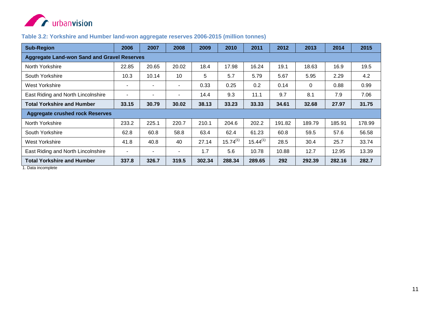

#### **Table 3.2: Yorkshire and Humber land-won aggregate reserves 2006-2015 (million tonnes)**

| <b>Sub-Region</b>                                  | 2006                     | 2007  | 2008  | 2009   | 2010          | 2011          | 2012   | 2013   | 2014   | 2015   |
|----------------------------------------------------|--------------------------|-------|-------|--------|---------------|---------------|--------|--------|--------|--------|
| <b>Aggregate Land-won Sand and Gravel Reserves</b> |                          |       |       |        |               |               |        |        |        |        |
| North Yorkshire                                    | 22.85                    | 20.65 | 20.02 | 18.4   | 17.98         | 16.24         | 19.1   | 18.63  | 16.9   | 19.5   |
| South Yorkshire                                    | 10.3                     | 10.14 | 10    | 5      | 5.7           | 5.79          | 5.67   | 5.95   | 2.29   | 4.2    |
| West Yorkshire                                     | $\overline{\phantom{a}}$ |       |       | 0.33   | 0.25          | 0.2           | 0.14   | 0      | 0.88   | 0.99   |
| East Riding and North Lincolnshire                 | ٠                        | ۰     | ٠     | 14.4   | 9.3           | 11.1          | 9.7    | 8.1    | 7.9    | 7.06   |
| <b>Total Yorkshire and Humber</b>                  | 33.15                    | 30.79 | 30.02 | 38.13  | 33.23         | 33.33         | 34.61  | 32.68  | 27.97  | 31.75  |
| <b>Aggregate crushed rock Reserves</b>             |                          |       |       |        |               |               |        |        |        |        |
| North Yorkshire                                    | 233.2                    | 225.1 | 220.7 | 210.1  | 204.6         | 202.2         | 191.82 | 189.79 | 185.91 | 178.99 |
| South Yorkshire                                    | 62.8                     | 60.8  | 58.8  | 63.4   | 62.4          | 61.23         | 60.8   | 59.5   | 57.6   | 56.58  |
| West Yorkshire                                     | 41.8                     | 40.8  | 40    | 27.14  | $15.74^{(1)}$ | $15.44^{(1)}$ | 28.5   | 30.4   | 25.7   | 33.74  |
| East Riding and North Lincolnshire                 | $\overline{\phantom{a}}$ | ۰     | Ξ.    | 1.7    | 5.6           | 10.78         | 10.88  | 12.7   | 12.95  | 13.39  |
| <b>Total Yorkshire and Humber</b>                  | 337.8                    | 326.7 | 319.5 | 302.34 | 288.34        | 289.65        | 292    | 292.39 | 282.16 | 282.7  |

<span id="page-18-0"></span>1. Data incomplete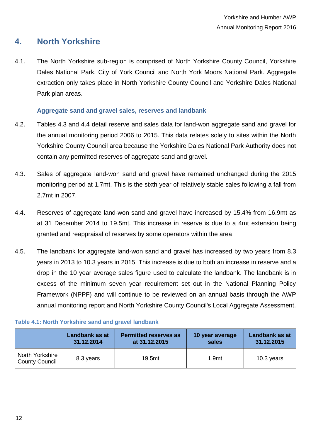## <span id="page-19-0"></span>**4. North Yorkshire**

4.1. The North Yorkshire sub-region is comprised of North Yorkshire County Council, Yorkshire Dales National Park, City of York Council and North York Moors National Park. Aggregate extraction only takes place in North Yorkshire County Council and Yorkshire Dales National Park plan areas.

#### **Aggregate sand and gravel sales, reserves and landbank**

- <span id="page-19-1"></span>4.2. Tables 4.3 and 4.4 detail reserve and sales data for land-won aggregate sand and gravel for the annual monitoring period 2006 to 2015. This data relates solely to sites within the North Yorkshire County Council area because the Yorkshire Dales National Park Authority does not contain any permitted reserves of aggregate sand and gravel.
- 4.3. Sales of aggregate land-won sand and gravel have remained unchanged during the 2015 monitoring period at 1.7mt. This is the sixth year of relatively stable sales following a fall from 2.7mt in 2007.
- 4.4. Reserves of aggregate land-won sand and gravel have increased by 15.4% from 16.9mt as at 31 December 2014 to 19.5mt. This increase in reserve is due to a 4mt extension being granted and reappraisal of reserves by some operators within the area.
- 4.5. The landbank for aggregate land-won sand and gravel has increased by two years from 8.3 years in 2013 to 10.3 years in 2015. This increase is due to both an increase in reserve and a drop in the 10 year average sales figure used to calculate the landbank. The landbank is in excess of the minimum seven year requirement set out in the National Planning Policy Framework (NPPF) and will continue to be reviewed on an annual basis through the AWP annual monitoring report and North Yorkshire County Council's Local Aggregate Assessment.

|                                          | Landbank as at | <b>Permitted reserves as</b> | 10 year average   | Landbank as at |
|------------------------------------------|----------------|------------------------------|-------------------|----------------|
|                                          | 31.12.2014     | at 31.12.2015                | sales             | 31.12.2015     |
| North Yorkshire<br><b>County Council</b> | 8.3 years      | 19.5mt                       | 1.9 <sub>mt</sub> | 10.3 years     |

#### <span id="page-19-2"></span>**Table 4.1: North Yorkshire sand and gravel landbank**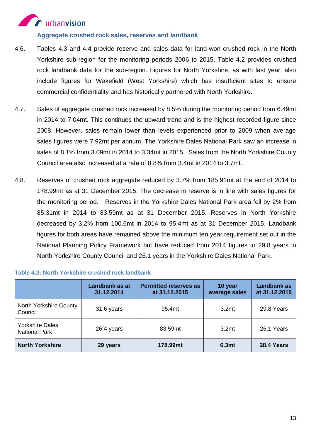# **A** urbanvision

**Aggregate crushed rock sales, reserves and landbank**

- <span id="page-20-0"></span>4.6. Tables 4.3 and 4.4 provide reserve and sales data for land-won crushed rock in the North Yorkshire sub-region for the monitoring periods 2006 to 2015. Table 4.2 provides crushed rock landbank data for the sub-region. Figures for North Yorkshire, as with last year, also include figures for Wakefield (West Yorkshire) which has insufficient sites to ensure commercial confidentiality and has historically partnered with North Yorkshire.
- 4.7. Sales of aggregate crushed rock increased by 8.5% during the monitoring period from 6.49mt in 2014 to 7.04mt. This continues the upward trend and is the highest recorded figure since 2008. However, sales remain lower than levels experienced prior to 2009 when average sales figures were 7.92mt per annum. The Yorkshire Dales National Park saw an increase in sales of 8.1% from 3.09mt in 2014 to 3.34mt in 2015. Sales from the North Yorkshire County Council area also increased at a rate of 8.8% from 3.4mt in 2014 to 3.7mt.
- 4.8. Reserves of crushed rock aggregate reduced by 3.7% from 185.91mt at the end of 2014 to 178.99mt as at 31 December 2015. The decrease in reserve is in line with sales figures for the monitoring period. Reserves in the Yorkshire Dales National Park area fell by 2% from 85.31mt in 2014 to 83.59mt as at 31 December 2015. Reserves in North Yorkshire decreased by 3.2% from 100.6mt in 2014 to 95.4mt as at 31 December 2015. Landbank figures for both areas have remained above the minimum ten year requirement set out in the National Planning Policy Framework but have reduced from 2014 figures to 29.8 years in North Yorkshire County Council and 26.1 years in the Yorkshire Dales National Park.

|                                                | Landbank as at<br>31.12.2014 | <b>Permitted reserves as</b><br>at 31.12.2015 | 10 year<br>average sales | <b>Landbank as</b><br>at 31.12.2015 |
|------------------------------------------------|------------------------------|-----------------------------------------------|--------------------------|-------------------------------------|
| North Yorkshire County<br>Council              | 31.6 years                   | 95.4mt                                        | 3.2 <sub>mt</sub>        | 29.8 Years                          |
| <b>Yorkshire Dales</b><br><b>National Park</b> | 26.4 years                   | 83.59mt                                       | 3.2 <sub>mt</sub>        | 26.1 Years                          |
| <b>North Yorkshire</b>                         | 29 years                     | 178.99mt                                      | 6.3mt                    | 28.4 Years                          |

#### <span id="page-20-1"></span>**Table 4.2: North Yorkshire crushed rock landbank**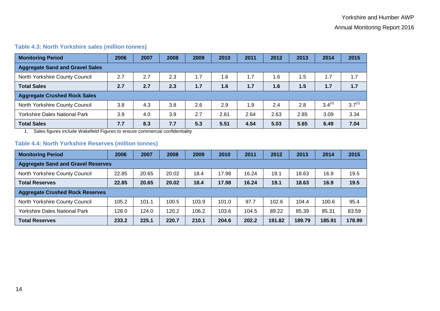#### **Table 4.3: North Yorkshire sales (million tonnes)**

| <b>Monitoring Period</b>               | 2006 | 2007 | 2008 | 2009 | 2010 | 2011 | 2012 | 2013 | 2014        | 2015        |
|----------------------------------------|------|------|------|------|------|------|------|------|-------------|-------------|
| <b>Aggregate Sand and Gravel Sales</b> |      |      |      |      |      |      |      |      |             |             |
| North Yorkshire County Council         | 2.7  | 2.7  | 2.3  | 1.7  | 1.6  | 1.7  | 1.6  | .5   | 1.7         | 1.7         |
| <b>Total Sales</b>                     | 2.7  | 2.7  | 2.3  | 1.7  | 1.6  | 1.7  | 1.6  | 1.5  | 1.7         | 1.7         |
| <b>Aggregate Crushed Rock Sales</b>    |      |      |      |      |      |      |      |      |             |             |
| North Yorkshire County Council         | 3.8  | 4.3  | 3.8  | 2.6  | 2.9  | 1.9  | 2.4  | 2.8  | $3.4^{(1)}$ | $3.7^{(1)}$ |
| <b>Yorkshire Dales National Park</b>   | 3.9  | 4.0  | 3.9  | 2.7  | 2.61 | 2.64 | 2.63 | 2.85 | 3.09        | 3.34        |
| <b>Total Sales</b>                     | 7.7  | 8.3  | 7.7  | 5.3  | 5.51 | 4.54 | 5.03 | 5.65 | 6.49        | 7.04        |

1. Sales figures include Wakefield Figures to ensure commercial confidentiality

#### **Table 4.4: North Yorkshire Reserves (million tonnes)**

<span id="page-21-1"></span><span id="page-21-0"></span>

| <b>Monitoring Period</b>                  | 2006  | 2007  | 2008  | 2009  | 2010  | 2011  | 2012   | 2013   | 2014   | 2015   |
|-------------------------------------------|-------|-------|-------|-------|-------|-------|--------|--------|--------|--------|
| <b>Aggregate Sand and Gravel Reserves</b> |       |       |       |       |       |       |        |        |        |        |
| North Yorkshire County Council            | 22.85 | 20.65 | 20.02 | 18.4  | 17.98 | 16.24 | 19.1   | 18.63  | 16.9   | 19.5   |
| <b>Total Reserves</b>                     | 22.85 | 20.65 | 20.02 | 18.4  | 17.98 | 16.24 | 19.1   | 18.63  | 16.9   | 19.5   |
| <b>Aggregate Crushed Rock Reserves</b>    |       |       |       |       |       |       |        |        |        |        |
| North Yorkshire County Council            | 105.2 | 101.1 | 100.5 | 103.9 | 101.0 | 97.7  | 102.6  | 104.4  | 100.6  | 95.4   |
| <b>Yorkshire Dales National Park</b>      | 128.0 | 124.0 | 120.2 | 106.2 | 103.6 | 104.5 | 89.22  | 85.39  | 85.31  | 83.59  |
| <b>Total Reserves</b>                     | 233.2 | 225.1 | 220.7 | 210.1 | 204.6 | 202.2 | 191.82 | 189.79 | 185.91 | 178.99 |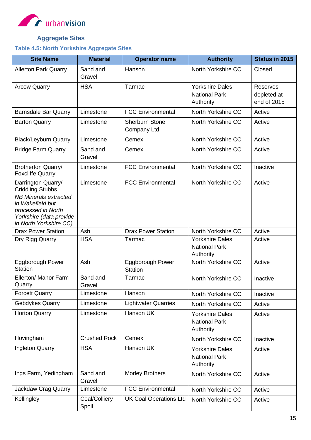

## **Aggregate Sites**

#### <span id="page-22-1"></span><span id="page-22-0"></span>**Table 4.5: North Yorkshire Aggregate Sites**

| <b>Site Name</b>                                                                                                                                                             | <b>Material</b>        | <b>Operator name</b>                      | <b>Authority</b>                                            | <b>Status in 2015</b>                         |
|------------------------------------------------------------------------------------------------------------------------------------------------------------------------------|------------------------|-------------------------------------------|-------------------------------------------------------------|-----------------------------------------------|
| <b>Allerton Park Quarry</b>                                                                                                                                                  | Sand and<br>Gravel     | Hanson                                    | North Yorkshire CC                                          | Closed                                        |
| <b>Arcow Quarry</b>                                                                                                                                                          | <b>HSA</b>             | Tarmac                                    | <b>Yorkshire Dales</b><br><b>National Park</b><br>Authority | <b>Reserves</b><br>depleted at<br>end of 2015 |
| <b>Barnsdale Bar Quarry</b>                                                                                                                                                  | Limestone              | <b>FCC Environmental</b>                  | North Yorkshire CC                                          | Active                                        |
| <b>Barton Quarry</b>                                                                                                                                                         | Limestone              | <b>Sherburn Stone</b><br>Company Ltd      | North Yorkshire CC                                          | Active                                        |
| <b>Black/Leyburn Quarry</b>                                                                                                                                                  | Limestone              | Cemex                                     | North Yorkshire CC                                          | Active                                        |
| <b>Bridge Farm Quarry</b>                                                                                                                                                    | Sand and<br>Gravel     | Cemex                                     | North Yorkshire CC                                          | Active                                        |
| Brotherton Quarry/<br><b>Foxcliffe Quarry</b>                                                                                                                                | Limestone              | <b>FCC Environmental</b>                  | North Yorkshire CC                                          | Inactive                                      |
| Darrington Quarry/<br><b>Criddling Stubbs</b><br><b>NB Minerals extracted</b><br>in Wakefield but<br>processed in North<br>Yorkshire (data provide<br>in North Yorkshire CC) | Limestone              | <b>FCC Environmental</b>                  | North Yorkshire CC                                          | Active                                        |
| <b>Drax Power Station</b>                                                                                                                                                    | Ash                    | <b>Drax Power Station</b>                 | North Yorkshire CC                                          | Active                                        |
| Dry Rigg Quarry                                                                                                                                                              | <b>HSA</b>             | Tarmac                                    | <b>Yorkshire Dales</b><br><b>National Park</b><br>Authority | Active                                        |
| <b>Eggborough Power</b><br><b>Station</b>                                                                                                                                    | Ash                    | <b>Eggborough Power</b><br><b>Station</b> | North Yorkshire CC                                          | Active                                        |
| Ellerton/ Manor Farm<br>Quarry                                                                                                                                               | Sand and<br>Gravel     | Tarmac                                    | North Yorkshire CC                                          | Inactive                                      |
| <b>Forcett Quarry</b>                                                                                                                                                        | Limestone              | Hanson                                    | North Yorkshire CC                                          | Inactive                                      |
| Gebdykes Quarry                                                                                                                                                              | Limestone              | <b>Lightwater Quarries</b>                | North Yorkshire CC                                          | Active                                        |
| <b>Horton Quarry</b>                                                                                                                                                         | Limestone              | Hanson UK                                 | <b>Yorkshire Dales</b><br><b>National Park</b><br>Authority | Active                                        |
| Hovingham                                                                                                                                                                    | <b>Crushed Rock</b>    | Cemex                                     | North Yorkshire CC                                          | Inactive                                      |
| Ingleton Quarry                                                                                                                                                              | <b>HSA</b>             | Hanson UK                                 | <b>Yorkshire Dales</b><br><b>National Park</b><br>Authority | Active                                        |
| Ings Farm, Yedingham                                                                                                                                                         | Sand and<br>Gravel     | <b>Morley Brothers</b>                    | North Yorkshire CC                                          | Active                                        |
| Jackdaw Crag Quarry                                                                                                                                                          | Limestone              | <b>FCC Environmental</b>                  | North Yorkshire CC                                          | Active                                        |
| Kellingley                                                                                                                                                                   | Coal/Colliery<br>Spoil | <b>UK Coal Operations Ltd</b>             | North Yorkshire CC                                          | Active                                        |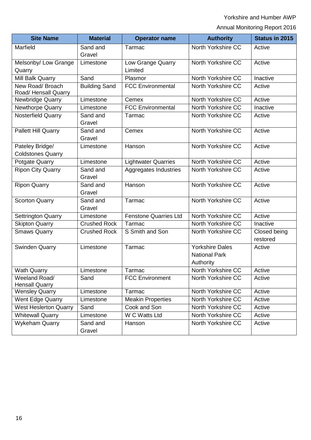Yorkshire and Humber AWP

Annual Monitoring Report 2016

| <b>Site Name</b>                            | <b>Material</b>      | <b>Operator name</b>         | <b>Authority</b>                                            | <b>Status in 2015</b>    |
|---------------------------------------------|----------------------|------------------------------|-------------------------------------------------------------|--------------------------|
| Marfield                                    | Sand and<br>Gravel   | Tarmac                       | North Yorkshire CC                                          | Active                   |
| Melsonby/ Low Grange<br>Quarry              | Limestone            | Low Grange Quarry<br>Limited | North Yorkshire CC                                          | Active                   |
| Mill Balk Quarry                            | Sand                 | Plasmor                      | North Yorkshire CC                                          | Inactive                 |
| New Road/ Broach<br>Road/Hensall Quarry     | <b>Building Sand</b> | <b>FCC Environmental</b>     | North Yorkshire CC                                          | Active                   |
| <b>Newbridge Quarry</b>                     | Limestone            | Cemex                        | North Yorkshire CC                                          | Active                   |
| Newthorpe Quarry                            | Limestone            | <b>FCC Environmental</b>     | North Yorkshire CC                                          | Inactive                 |
| <b>Nosterfield Quarry</b>                   | Sand and<br>Gravel   | Tarmac                       | North Yorkshire CC                                          | Active                   |
| Pallett Hill Quarry                         | Sand and<br>Gravel   | Cemex                        | North Yorkshire CC                                          | Active                   |
| Pateley Bridge/<br><b>Coldstones Quarry</b> | Limestone            | Hanson                       | North Yorkshire CC                                          | Active                   |
| Potgate Quarry                              | Limestone            | <b>Lightwater Quarries</b>   | North Yorkshire CC                                          | Active                   |
| <b>Ripon City Quarry</b>                    | Sand and<br>Gravel   | Aggregates Industries        | North Yorkshire CC                                          | Active                   |
| <b>Ripon Quarry</b>                         | Sand and<br>Gravel   | Hanson                       | North Yorkshire CC                                          | Active                   |
| <b>Scorton Quarry</b>                       | Sand and<br>Gravel   | Tarmac                       | North Yorkshire CC                                          | Active                   |
| <b>Settrington Quarry</b>                   | Limestone            | <b>Fenstone Quarries Ltd</b> | North Yorkshire CC                                          | Active                   |
| <b>Skipton Quarry</b>                       | Crushed Rock         | Tarmac                       | North Yorkshire CC                                          | Inactive                 |
| <b>Smaws Quarry</b>                         | Crushed Rock         | S Smith and Son              | North Yorkshire CC                                          | Closed being<br>restored |
| <b>Swinden Quarry</b>                       | Limestone            | Tarmac                       | <b>Yorkshire Dales</b><br><b>National Park</b><br>Authority | Active                   |
| <b>Wath Quarry</b>                          | Limestone            | Tarmac                       | North Yorkshire CC                                          | Active                   |
| Weeland Road/<br><b>Hensall Quarry</b>      | Sand                 | <b>FCC Environment</b>       | North Yorkshire CC                                          | Active                   |
| <b>Wensley Quarry</b>                       | Limestone            | Tarmac                       | North Yorkshire CC                                          | Active                   |
| Went Edge Quarry                            | Limestone            | <b>Meakin Properties</b>     | North Yorkshire CC                                          | Active                   |
| <b>West Heslerton Quarry</b>                | Sand                 | Cook and Son                 | North Yorkshire CC                                          | Active                   |
| <b>Whitewall Quarry</b>                     | Limestone            | W C Watts Ltd                | North Yorkshire CC                                          | Active                   |
| <b>Wykeham Quarry</b>                       | Sand and<br>Gravel   | Hanson                       | North Yorkshire CC                                          | Active                   |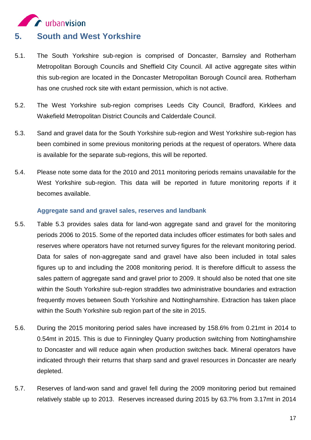

- <span id="page-24-0"></span>5.1. The South Yorkshire sub-region is comprised of Doncaster, Barnsley and Rotherham Metropolitan Borough Councils and Sheffield City Council. All active aggregate sites within this sub-region are located in the Doncaster Metropolitan Borough Council area. Rotherham has one crushed rock site with extant permission, which is not active.
- 5.2. The West Yorkshire sub-region comprises Leeds City Council, Bradford, Kirklees and Wakefield Metropolitan District Councils and Calderdale Council.
- 5.3. Sand and gravel data for the South Yorkshire sub-region and West Yorkshire sub-region has been combined in some previous monitoring periods at the request of operators. Where data is available for the separate sub-regions, this will be reported.
- 5.4. Please note some data for the 2010 and 2011 monitoring periods remains unavailable for the West Yorkshire sub-region. This data will be reported in future monitoring reports if it becomes available.

#### **Aggregate sand and gravel sales, reserves and landbank**

- <span id="page-24-1"></span>5.5. Table 5.3 provides sales data for land-won aggregate sand and gravel for the monitoring periods 2006 to 2015. Some of the reported data includes officer estimates for both sales and reserves where operators have not returned survey figures for the relevant monitoring period. Data for sales of non-aggregate sand and gravel have also been included in total sales figures up to and including the 2008 monitoring period. It is therefore difficult to assess the sales pattern of aggregate sand and gravel prior to 2009. It should also be noted that one site within the South Yorkshire sub-region straddles two administrative boundaries and extraction frequently moves between South Yorkshire and Nottinghamshire. Extraction has taken place within the South Yorkshire sub region part of the site in 2015.
- 5.6. During the 2015 monitoring period sales have increased by 158.6% from 0.21mt in 2014 to 0.54mt in 2015. This is due to Finningley Quarry production switching from Nottinghamshire to Doncaster and will reduce again when production switches back. Mineral operators have indicated through their returns that sharp sand and gravel resources in Doncaster are nearly depleted.
- 5.7. Reserves of land-won sand and gravel fell during the 2009 monitoring period but remained relatively stable up to 2013. Reserves increased during 2015 by 63.7% from 3.17mt in 2014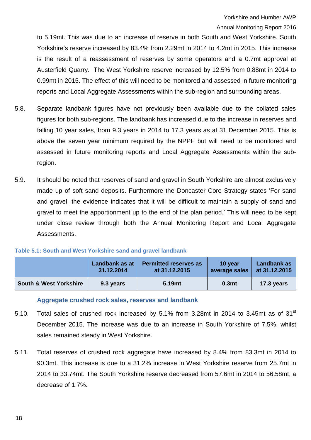Annual Monitoring Report 2016

to 5.19mt. This was due to an increase of reserve in both South and West Yorkshire. South Yorkshire's reserve increased by 83.4% from 2.29mt in 2014 to 4.2mt in 2015. This increase is the result of a reassessment of reserves by some operators and a 0.7mt approval at Austerfield Quarry. The West Yorkshire reserve increased by 12.5% from 0.88mt in 2014 to 0.99mt in 2015. The effect of this will need to be monitored and assessed in future monitoring reports and Local Aggregate Assessments within the sub-region and surrounding areas.

- 5.8. Separate landbank figures have not previously been available due to the collated sales figures for both sub-regions. The landbank has increased due to the increase in reserves and falling 10 year sales, from 9.3 years in 2014 to 17.3 years as at 31 December 2015. This is above the seven year minimum required by the NPPF but will need to be monitored and assessed in future monitoring reports and Local Aggregate Assessments within the subregion.
- 5.9. It should be noted that reserves of sand and gravel in South Yorkshire are almost exclusively made up of soft sand deposits. Furthermore the Doncaster Core Strategy states 'For sand and gravel, the evidence indicates that it will be difficult to maintain a supply of sand and gravel to meet the apportionment up to the end of the plan period.' This will need to be kept under close review through both the Annual Monitoring Report and Local Aggregate Assessments.

<span id="page-25-1"></span>

| Table 5.1: South and West Yorkshire sand and gravel landbank |  |  |  |  |  |
|--------------------------------------------------------------|--|--|--|--|--|
|--------------------------------------------------------------|--|--|--|--|--|

|                                   | Landbank as at | <b>Permitted reserves as</b> | 10 year           | Landbank as   |
|-----------------------------------|----------------|------------------------------|-------------------|---------------|
|                                   | 31.12.2014     | at 31.12.2015                | average sales     | at 31.12.2015 |
| <b>South &amp; West Yorkshire</b> | 9.3 years      | 5.19mt                       | 0.3 <sub>mt</sub> | 17.3 years    |

**Aggregate crushed rock sales, reserves and landbank**

- <span id="page-25-0"></span>5.10. Total sales of crushed rock increased by 5.1% from 3.28mt in 2014 to 3.45mt as of 31 $^{\rm st}$ December 2015. The increase was due to an increase in South Yorkshire of 7.5%, whilst sales remained steady in West Yorkshire.
- 5.11. Total reserves of crushed rock aggregate have increased by 8.4% from 83.3mt in 2014 to 90.3mt. This increase is due to a 31.2% increase in West Yorkshire reserve from 25.7mt in 2014 to 33.74mt. The South Yorkshire reserve decreased from 57.6mt in 2014 to 56.58mt, a decrease of 1.7%.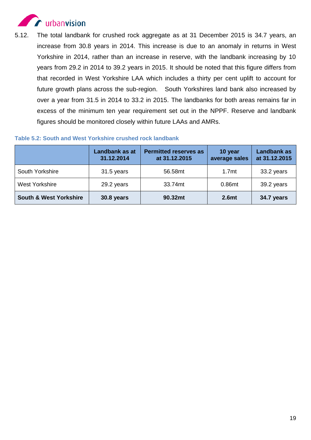

5.12. The total landbank for crushed rock aggregate as at 31 December 2015 is 34.7 years, an increase from 30.8 years in 2014. This increase is due to an anomaly in returns in West Yorkshire in 2014, rather than an increase in reserve, with the landbank increasing by 10 years from 29.2 in 2014 to 39.2 years in 2015. It should be noted that this figure differs from that recorded in West Yorkshire LAA which includes a thirty per cent uplift to account for future growth plans across the sub-region. South Yorkshires land bank also increased by over a year from 31.5 in 2014 to 33.2 in 2015. The landbanks for both areas remains far in excess of the minimum ten year requirement set out in the NPPF. Reserve and landbank figures should be monitored closely within future LAAs and AMRs.

<span id="page-26-0"></span>

|--|

|                                   | Landbank as at<br>31.12.2014 | <b>Permitted reserves as</b><br>at 31.12.2015 | 10 year<br>average sales | <b>Landbank as</b><br>at 31.12.2015 |
|-----------------------------------|------------------------------|-----------------------------------------------|--------------------------|-------------------------------------|
| South Yorkshire                   | 31.5 years                   | 56.58mt                                       | 1.7 <sub>mt</sub>        | 33.2 years                          |
| West Yorkshire                    | 29.2 years                   | 33.74mt                                       | 0.86mt                   | 39.2 years                          |
| <b>South &amp; West Yorkshire</b> | 30.8 years                   | 90.32mt                                       | 2.6mt                    | 34.7 years                          |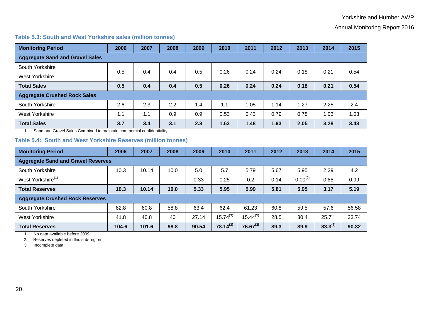#### Annual Monitoring Report 2016

#### **Table 5.3: South and West Yorkshire sales (million tonnes)**

| <b>Monitoring Period</b>               | 2006 | 2007 | 2008 | 2009 | 2010 | 2011 | 2012 | 2013 | 2014 | 2015 |
|----------------------------------------|------|------|------|------|------|------|------|------|------|------|
| <b>Aggregate Sand and Gravel Sales</b> |      |      |      |      |      |      |      |      |      |      |
| South Yorkshire                        | 0.5  | 0.4  | 0.4  | 0.5  | 0.26 | 0.24 | 0.24 | 0.18 | 0.21 | 0.54 |
| West Yorkshire                         |      |      |      |      |      |      |      |      |      |      |
| <b>Total Sales</b>                     | 0.5  | 0.4  | 0.4  | 0.5  | 0.26 | 0.24 | 0.24 | 0.18 | 0.21 | 0.54 |
| <b>Aggregate Crushed Rock Sales</b>    |      |      |      |      |      |      |      |      |      |      |
| South Yorkshire                        | 2.6  | 2.3  | 2.2  | 1.4  | 1.1  | 1.05 | 1.14 | 1.27 | 2.25 | 2.4  |
| West Yorkshire                         | 1.1  | 1.1  | 0.9  | 0.9  | 0.53 | 0.43 | 0.79 | 0.78 | 1.03 | 1.03 |
| <b>Total Sales</b><br>.                | 3.7  | 3.4  | 3.1  | 2.3  | 1.63 | 1.48 | 1.93 | 2.05 | 3.28 | 3.43 |

1. Sand and Gravel Sales Combined to maintain commercial confidentiality.

#### **Table 5.4: South and West Yorkshire Reserves (million tonnes)**

<span id="page-27-0"></span>

| <b>Monitoring Period</b>                  | 2006                     | 2007  | 2008   | 2009  | 2010          | 2011          | 2012 | 2013         | 2014         | 2015  |
|-------------------------------------------|--------------------------|-------|--------|-------|---------------|---------------|------|--------------|--------------|-------|
| <b>Aggregate Sand and Gravel Reserves</b> |                          |       |        |       |               |               |      |              |              |       |
| South Yorkshire                           | 10.3                     | 10.14 | 10.0   | 5.0   | 5.7           | 5.79          | 5.67 | 5.95         | 2.29         | 4.2   |
| West Yorkshire <sup>(1)</sup>             | $\overline{\phantom{a}}$ |       | $\sim$ | 0.33  | 0.25          | 0.2           | 0.14 | $0.00^{(2)}$ | 0.88         | 0.99  |
| <b>Total Reserves</b>                     | 10.3                     | 10.14 | 10.0   | 5.33  | 5.95          | 5.99          | 5.81 | 5.95         | 3.17         | 5.19  |
| <b>Aggregate Crushed Rock Reserves</b>    |                          |       |        |       |               |               |      |              |              |       |
| South Yorkshire                           | 62.8                     | 60.8  | 58.8   | 63.4  | 62.4          | 61.23         | 60.8 | 59.5         | 57.6         | 56.58 |
| West Yorkshire                            | 41.8                     | 40.8  | 40     | 27.14 | $15.74^{(3)}$ | $15.44^{(3)}$ | 28.5 | 30.4         | $25.7^{(3)}$ | 33.74 |
| <b>Total Reserves</b>                     | 104.6                    | 101.6 | 98.8   | 90.54 | $78.14^{(3)}$ | $76.67^{(3)}$ | 89.3 | 89.9         | $83.3^{(3)}$ | 90.32 |

1. No data available before 2009

2. Reserves depleted in this sub-region

<span id="page-27-1"></span>3. Incomplete data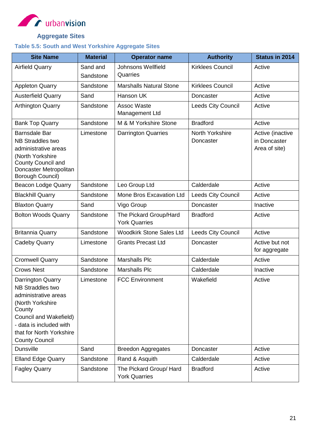

## **Aggregate Sites**

## <span id="page-28-1"></span><span id="page-28-0"></span>**Table 5.5: South and West Yorkshire Aggregate Sites**

| <b>Site Name</b>                                                                                                                                                                                             | <b>Material</b>       | <b>Operator name</b>                            | <b>Authority</b>             | <b>Status in 2014</b>                             |
|--------------------------------------------------------------------------------------------------------------------------------------------------------------------------------------------------------------|-----------------------|-------------------------------------------------|------------------------------|---------------------------------------------------|
| <b>Airfield Quarry</b>                                                                                                                                                                                       | Sand and<br>Sandstone | <b>Johnsons Wellfield</b><br>Quarries           | <b>Kirklees Council</b>      | Active                                            |
| <b>Appleton Quarry</b>                                                                                                                                                                                       | Sandstone             | <b>Marshalls Natural Stone</b>                  | <b>Kirklees Council</b>      | Active                                            |
| <b>Austerfield Quarry</b>                                                                                                                                                                                    | Sand                  | Hanson UK                                       | Doncaster                    | Active                                            |
| <b>Arthington Quarry</b>                                                                                                                                                                                     | Sandstone             | Assoc Waste<br>Management Ltd                   | <b>Leeds City Council</b>    | Active                                            |
| <b>Bank Top Quarry</b>                                                                                                                                                                                       | Sandstone             | M & M Yorkshire Stone                           | <b>Bradford</b>              | Active                                            |
| <b>Barnsdale Bar</b><br><b>NB Straddles two</b><br>administrative areas<br>(North Yorkshire<br><b>County Council and</b><br>Doncaster Metropolitan<br><b>Borough Council)</b>                                | Limestone             | <b>Darrington Quarries</b>                      | North Yorkshire<br>Doncaster | Active (inactive<br>in Doncaster<br>Area of site) |
| <b>Beacon Lodge Quarry</b>                                                                                                                                                                                   | Sandstone             | Leo Group Ltd                                   | Calderdale                   | Active                                            |
| <b>Blackhill Quarry</b>                                                                                                                                                                                      | Sandstone             | Mone Bros Excavation Ltd                        | <b>Leeds City Council</b>    | Active                                            |
| <b>Blaxton Quarry</b>                                                                                                                                                                                        | Sand                  | Vigo Group                                      | Doncaster                    | Inactive                                          |
| <b>Bolton Woods Quarry</b>                                                                                                                                                                                   | Sandstone             | The Pickard Group/Hard<br><b>York Quarries</b>  | <b>Bradford</b>              | Active                                            |
| <b>Britannia Quarry</b>                                                                                                                                                                                      | Sandstone             | <b>Woodkirk Stone Sales Ltd</b>                 | <b>Leeds City Council</b>    | Active                                            |
| <b>Cadeby Quarry</b>                                                                                                                                                                                         | Limestone             | <b>Grants Precast Ltd</b>                       | Doncaster                    | Active but not<br>for aggregate                   |
| <b>Cromwell Quarry</b>                                                                                                                                                                                       | Sandstone             | <b>Marshalls Plc</b>                            | Calderdale                   | Active                                            |
| <b>Crows Nest</b>                                                                                                                                                                                            | Sandstone             | <b>Marshalls Plc</b>                            | Calderdale                   | Inactive                                          |
| Darrington Quarry<br><b>NB Straddles two</b><br>administrative areas<br>(North Yorkshire<br>County<br>Council and Wakefield)<br>- data is included with<br>that for North Yorkshire<br><b>County Council</b> | Limestone             | <b>FCC Environment</b>                          | Wakefield                    | Active                                            |
| <b>Dunsville</b>                                                                                                                                                                                             | Sand                  | <b>Breedon Aggregates</b>                       | Doncaster                    | Active                                            |
| <b>Elland Edge Quarry</b>                                                                                                                                                                                    | Sandstone             | Rand & Asquith                                  | Calderdale                   | Active                                            |
| <b>Fagley Quarry</b>                                                                                                                                                                                         | Sandstone             | The Pickard Group/ Hard<br><b>York Quarries</b> | <b>Bradford</b>              | Active                                            |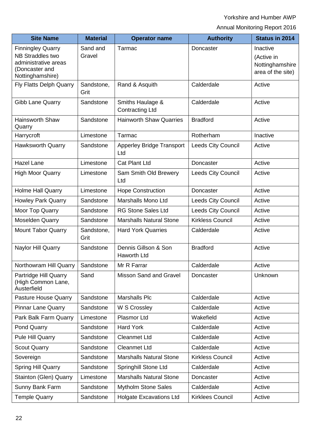Yorkshire and Humber AWP

Annual Monitoring Report 2016

| <b>Site Name</b>                                                                                                  | <b>Material</b>    | <b>Operator name</b>                       | <b>Authority</b>          | Status in 2014                                                 |
|-------------------------------------------------------------------------------------------------------------------|--------------------|--------------------------------------------|---------------------------|----------------------------------------------------------------|
| <b>Finningley Quarry</b><br><b>NB Straddles two</b><br>administrative areas<br>(Doncaster and<br>Nottinghamshire) | Sand and<br>Gravel | Tarmac                                     | Doncaster                 | Inactive<br>(Active in<br>Nottinghamshire<br>area of the site) |
| <b>Fly Flatts Delph Quarry</b>                                                                                    | Sandstone,<br>Grit | Rand & Asquith                             | Calderdale                | Active                                                         |
| Gibb Lane Quarry                                                                                                  | Sandstone          | Smiths Haulage &<br><b>Contracting Ltd</b> | Calderdale                | Active                                                         |
| <b>Hainsworth Shaw</b><br>Quarry                                                                                  | Sandstone          | <b>Hainworth Shaw Quarries</b>             | <b>Bradford</b>           | Active                                                         |
| Harrycroft                                                                                                        | Limestone          | Tarmac                                     | Rotherham                 | Inactive                                                       |
| <b>Hawksworth Quarry</b>                                                                                          | Sandstone          | <b>Apperley Bridge Transport</b><br>Ltd    | <b>Leeds City Council</b> | Active                                                         |
| <b>Hazel Lane</b>                                                                                                 | Limestone          | <b>Cat Plant Ltd</b>                       | Doncaster                 | Active                                                         |
| <b>High Moor Quarry</b>                                                                                           | Limestone          | Sam Smith Old Brewery<br>Ltd               | <b>Leeds City Council</b> | Active                                                         |
| <b>Holme Hall Quarry</b>                                                                                          | Limestone          | <b>Hope Construction</b>                   | Doncaster                 | Active                                                         |
| <b>Howley Park Quarry</b>                                                                                         | Sandstone          | Marshalls Mono Ltd                         | <b>Leeds City Council</b> | Active                                                         |
| Moor Top Quarry                                                                                                   | Sandstone          | <b>RG Stone Sales Ltd</b>                  | Leeds City Council        | Active                                                         |
| <b>Moselden Quarry</b>                                                                                            | Sandstone          | <b>Marshalls Natural Stone</b>             | <b>Kirkless Council</b>   | Active                                                         |
| <b>Mount Tabor Quarry</b>                                                                                         | Sandstone,<br>Grit | <b>Hard York Quarries</b>                  | Calderdale                | Active                                                         |
| Naylor Hill Quarry                                                                                                | Sandstone          | Dennis Gillson & Son<br>Haworth Ltd        | <b>Bradford</b>           | Active                                                         |
| Northowram Hill Quarry                                                                                            | Sandstone          | Mr R Farrar                                | Calderdale                | Active                                                         |
| Partridge Hill Quarry<br>(High Common Lane,<br>Austerfield                                                        | Sand               | Misson Sand and Gravel                     | Doncaster                 | Unknown                                                        |
| <b>Pasture House Quarry</b>                                                                                       | Sandstone          | <b>Marshalls Plc</b>                       | Calderdale                | Active                                                         |
| <b>Pinnar Lane Quarry</b>                                                                                         | Sandstone          | W S Crossley                               | Calderdale                | Active                                                         |
| Park Balk Farm Quarry                                                                                             | Limestone          | <b>Plasmor Ltd</b>                         | Wakefield                 | Active                                                         |
| Pond Quarry                                                                                                       | Sandstone          | <b>Hard York</b>                           | Calderdale                | Active                                                         |
| Pule Hill Quarry                                                                                                  | Sandstone          | <b>Cleanmet Ltd</b>                        | Calderdale                | Active                                                         |
| <b>Scout Quarry</b>                                                                                               | Sandstone          | <b>Cleanmet Ltd</b>                        | Calderdale                | Active                                                         |
| Sovereign                                                                                                         | Sandstone          | <b>Marshalls Natural Stone</b>             | <b>Kirkless Council</b>   | Active                                                         |
| <b>Spring Hill Quarry</b>                                                                                         | Sandstone          | <b>Springhill Stone Ltd</b>                | Calderdale                | Active                                                         |
| <b>Stainton (Glen) Quarry</b>                                                                                     | Limestone          | <b>Marshalls Natural Stone</b>             | Doncaster                 | Active                                                         |
| Sunny Bank Farm                                                                                                   | Sandstone          | <b>Mytholm Stone Sales</b>                 | Calderdale                | Active                                                         |
| <b>Temple Quarry</b>                                                                                              | Sandstone          | <b>Holgate Excavations Ltd</b>             | <b>Kirklees Council</b>   | Active                                                         |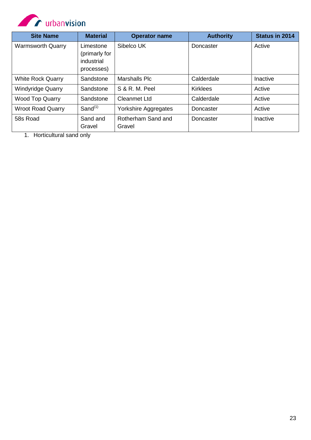

| <b>Site Name</b>         | <b>Material</b>                                        | <b>Operator name</b>         | <b>Authority</b> | <b>Status in 2014</b> |
|--------------------------|--------------------------------------------------------|------------------------------|------------------|-----------------------|
| <b>Warmsworth Quarry</b> | Limestone<br>(primarly for<br>industrial<br>processes) | Sibelco UK                   | Doncaster        | Active                |
| <b>White Rock Quarry</b> | Sandstone                                              | <b>Marshalls Plc</b>         | Calderdale       | Inactive              |
| <b>Windyridge Quarry</b> | Sandstone                                              | S & R. M. Peel               | <b>Kirklees</b>  | Active                |
| <b>Wood Top Quarry</b>   | Sandstone                                              | <b>Cleanmet Ltd</b>          | Calderdale       | Active                |
| <b>Wroot Road Quarry</b> | Sand <sup>(1)</sup>                                    | Yorkshire Aggregates         | Doncaster        | Active                |
| 58s Road                 | Sand and<br>Gravel                                     | Rotherham Sand and<br>Gravel | Doncaster        | Inactive              |

1. Horticultural sand only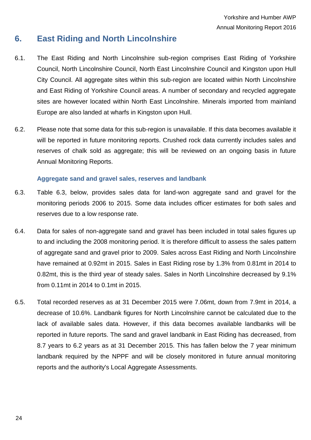## <span id="page-31-0"></span>**6. East Riding and North Lincolnshire**

- 6.1. The East Riding and North Lincolnshire sub-region comprises East Riding of Yorkshire Council, North Lincolnshire Council, North East Lincolnshire Council and Kingston upon Hull City Council. All aggregate sites within this sub-region are located within North Lincolnshire and East Riding of Yorkshire Council areas. A number of secondary and recycled aggregate sites are however located within North East Lincolnshire. Minerals imported from mainland Europe are also landed at wharfs in Kingston upon Hull.
- 6.2. Please note that some data for this sub-region is unavailable. If this data becomes available it will be reported in future monitoring reports. Crushed rock data currently includes sales and reserves of chalk sold as aggregate; this will be reviewed on an ongoing basis in future Annual Monitoring Reports.

#### **Aggregate sand and gravel sales, reserves and landbank**

- <span id="page-31-1"></span>6.3. Table 6.3, below, provides sales data for land-won aggregate sand and gravel for the monitoring periods 2006 to 2015. Some data includes officer estimates for both sales and reserves due to a low response rate.
- 6.4. Data for sales of non-aggregate sand and gravel has been included in total sales figures up to and including the 2008 monitoring period. It is therefore difficult to assess the sales pattern of aggregate sand and gravel prior to 2009. Sales across East Riding and North Lincolnshire have remained at 0.92mt in 2015. Sales in East Riding rose by 1.3% from 0.81mt in 2014 to 0.82mt, this is the third year of steady sales. Sales in North Lincolnshire decreased by 9.1% from 0.11mt in 2014 to 0.1mt in 2015.
- 6.5. Total recorded reserves as at 31 December 2015 were 7.06mt, down from 7.9mt in 2014, a decrease of 10.6%. Landbank figures for North Lincolnshire cannot be calculated due to the lack of available sales data. However, if this data becomes available landbanks will be reported in future reports. The sand and gravel landbank in East Riding has decreased, from 8.7 years to 6.2 years as at 31 December 2015. This has fallen below the 7 year minimum landbank required by the NPPF and will be closely monitored in future annual monitoring reports and the authority's Local Aggregate Assessments.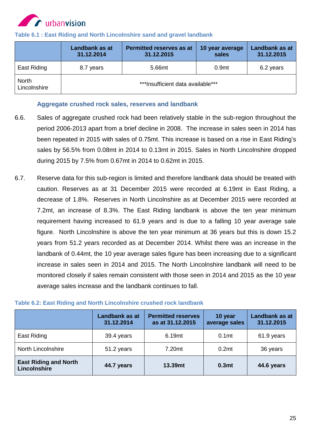

|                              | Landbank as at<br>31.12.2014 | <b>Permitted reserves as at</b><br>31.12.2015 | 10 year average<br>sales | Landbank as at<br>31.12.2015 |
|------------------------------|------------------------------|-----------------------------------------------|--------------------------|------------------------------|
| East Riding                  | 8.7 years                    | 5.66mt                                        | 0.9 <sub>mt</sub>        | 6.2 years                    |
| <b>North</b><br>Lincolnshire |                              | ***Insufficient data available***             |                          |                              |

#### <span id="page-32-1"></span>**Table 6.1 : East Riding and North Lincolnshire sand and gravel landbank**

#### **Aggregate crushed rock sales, reserves and landbank**

- <span id="page-32-0"></span>6.6. Sales of aggregate crushed rock had been relatively stable in the sub-region throughout the period 2006-2013 apart from a brief decline in 2008. The increase in sales seen in 2014 has been repeated in 2015 with sales of 0.75mt. This increase is based on a rise in East Riding's sales by 56.5% from 0.08mt in 2014 to 0.13mt in 2015. Sales in North Lincolnshire dropped during 2015 by 7.5% from 0.67mt in 2014 to 0.62mt in 2015.
- 6.7. Reserve data for this sub-region is limited and therefore landbank data should be treated with caution. Reserves as at 31 December 2015 were recorded at 6.19mt in East Riding, a decrease of 1.8%. Reserves in North Lincolnshire as at December 2015 were recorded at 7.2mt, an increase of 8.3%. The East Riding landbank is above the ten year minimum requirement having increased to 61.9 years and is due to a falling 10 year average sale figure. North Lincolnshire is above the ten year minimum at 36 years but this is down 15.2 years from 51.2 years recorded as at December 2014. Whilst there was an increase in the landbank of 0.44mt, the 10 year average sales figure has been increasing due to a significant increase in sales seen in 2014 and 2015. The North Lincolnshire landbank will need to be monitored closely if sales remain consistent with those seen in 2014 and 2015 as the 10 year average sales increase and the landbank continues to fall.

|                                              | Landbank as at<br>31.12.2014 | <b>Permitted reserves</b><br>as at 31.12.2015 | 10 year<br>average sales | Landbank as at<br>31.12.2015 |
|----------------------------------------------|------------------------------|-----------------------------------------------|--------------------------|------------------------------|
| East Riding                                  | 39.4 years                   | 6.19mt                                        | 0.1 <sub>mt</sub>        | 61.9 years                   |
| <b>North Lincolnshire</b>                    | 51.2 years                   | 7.20mt                                        | 0.2 <sub>mt</sub>        | 36 years                     |
| <b>East Riding and North</b><br>Lincolnshire | 44.7 years                   | 13.39mt                                       | 0.3 <sub>mt</sub>        | 44.6 years                   |

#### <span id="page-32-2"></span>**Table 6.2: East Riding and North Lincolnshire crushed rock landbank**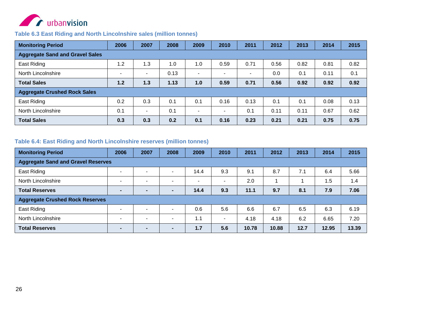

#### **Table 6.3 East Riding and North Lincolnshire sales (million tonnes)**

| <b>Monitoring Period</b>               | 2006           | 2007           | 2008 | 2009           | 2010                     | 2011                     | 2012 | 2013 | 2014 | 2015 |
|----------------------------------------|----------------|----------------|------|----------------|--------------------------|--------------------------|------|------|------|------|
| <b>Aggregate Sand and Gravel Sales</b> |                |                |      |                |                          |                          |      |      |      |      |
| East Riding                            | 1.2            | 1.3            | 1.0  | 1.0            | 0.59                     | 0.71                     | 0.56 | 0.82 | 0.81 | 0.82 |
| North Lincolnshire                     | $\blacksquare$ | $\blacksquare$ | 0.13 | $\blacksquare$ | $\blacksquare$           | $\overline{\phantom{a}}$ | 0.0  | 0.1  | 0.11 | 0.1  |
| <b>Total Sales</b>                     | 1.2            | 1.3            | 1.13 | 1.0            | 0.59                     | 0.71                     | 0.56 | 0.92 | 0.92 | 0.92 |
| <b>Aggregate Crushed Rock Sales</b>    |                |                |      |                |                          |                          |      |      |      |      |
| East Riding                            | 0.2            | 0.3            | 0.1  | 0.1            | 0.16                     | 0.13                     | 0.1  | 0.1  | 0.08 | 0.13 |
| North Lincolnshire                     | 0.1            | $\blacksquare$ | 0.1  | $\blacksquare$ | $\overline{\phantom{a}}$ | 0.1                      | 0.11 | 0.11 | 0.67 | 0.62 |
| <b>Total Sales</b>                     | 0.3            | 0.3            | 0.2  | 0.1            | 0.16                     | 0.23                     | 0.21 | 0.21 | 0.75 | 0.75 |

#### **Table 6.4: East Riding and North Lincolnshire reserves (million tonnes)**

<span id="page-33-1"></span><span id="page-33-0"></span>

| <b>Monitoring Period</b>               | 2006                                      | 2007                     | 2008                     | 2009                     | 2010                     | 2011  | 2012  | 2013 | 2014  | 2015  |
|----------------------------------------|-------------------------------------------|--------------------------|--------------------------|--------------------------|--------------------------|-------|-------|------|-------|-------|
|                                        | <b>Aggregate Sand and Gravel Reserves</b> |                          |                          |                          |                          |       |       |      |       |       |
| East Riding                            | $\overline{\phantom{a}}$                  | $\blacksquare$           | $\overline{\phantom{a}}$ | 14.4                     | 9.3                      | 9.1   | 8.7   | 7.1  | 6.4   | 5.66  |
| North Lincolnshire                     | $\overline{\phantom{a}}$                  | $\overline{\phantom{0}}$ | $\overline{\phantom{a}}$ | $\overline{\phantom{0}}$ | $\blacksquare$           | 2.0   |       |      | 1.5   | 1.4   |
| <b>Total Reserves</b>                  | $\blacksquare$                            | $\overline{\phantom{0}}$ | $\overline{\phantom{a}}$ | 14.4                     | 9.3                      | 11.1  | 9.7   | 8.1  | 7.9   | 7.06  |
| <b>Aggregate Crushed Rock Reserves</b> |                                           |                          |                          |                          |                          |       |       |      |       |       |
| East Riding                            | $\overline{\phantom{0}}$                  | $\overline{\phantom{0}}$ | $\overline{\phantom{0}}$ | 0.6                      | 5.6                      | 6.6   | 6.7   | 6.5  | 6.3   | 6.19  |
| North Lincolnshire                     | $\overline{\phantom{a}}$                  | $\overline{\phantom{0}}$ | $\overline{\phantom{a}}$ | 1.1                      | $\overline{\phantom{a}}$ | 4.18  | 4.18  | 6.2  | 6.65  | 7.20  |
| <b>Total Reserves</b>                  | -                                         |                          | $\overline{\phantom{a}}$ | 1.7                      | 5.6                      | 10.78 | 10.88 | 12.7 | 12.95 | 13.39 |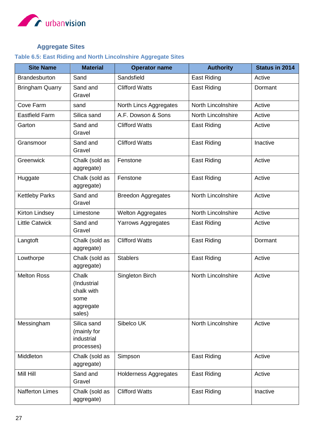

## **Aggregate Sites**

## <span id="page-34-1"></span><span id="page-34-0"></span>**Table 6.5: East Riding and North Lincolnshire Aggregate Sites**

| <b>Site Name</b>       | <b>Material</b>                                                   | <b>Operator name</b>         | <b>Authority</b>          | <b>Status in 2014</b> |
|------------------------|-------------------------------------------------------------------|------------------------------|---------------------------|-----------------------|
| <b>Brandesburton</b>   | Sand                                                              | Sandsfield                   | East Riding               | Active                |
| <b>Bringham Quarry</b> | Sand and<br>Gravel                                                | <b>Clifford Watts</b>        | East Riding               | Dormant               |
| Cove Farm              | sand                                                              | North Lincs Aggregates       | North Lincolnshire        | Active                |
| <b>Eastfield Farm</b>  | Silica sand                                                       | A.F. Dowson & Sons           | <b>North Lincolnshire</b> | Active                |
| Garton                 | Sand and<br>Gravel                                                | <b>Clifford Watts</b>        | <b>East Riding</b>        | Active                |
| Gransmoor              | Sand and<br>Gravel                                                | <b>Clifford Watts</b>        | East Riding               | Inactive              |
| Greenwick              | Chalk (sold as<br>aggregate)                                      | Fenstone                     | East Riding               | Active                |
| Huggate                | Chalk (sold as<br>aggregate)                                      | Fenstone                     | <b>East Riding</b>        | Active                |
| <b>Kettleby Parks</b>  | Sand and<br>Gravel                                                | <b>Breedon Aggregates</b>    | <b>North Lincolnshire</b> | Active                |
| <b>Kirton Lindsey</b>  | Limestone                                                         | <b>Welton Aggregates</b>     | <b>North Lincolnshire</b> | Active                |
| <b>Little Catwick</b>  | Sand and<br>Gravel                                                | Yarrows Aggregates           | <b>East Riding</b>        | Active                |
| Langtoft               | Chalk (sold as<br>aggregate)                                      | <b>Clifford Watts</b>        | <b>East Riding</b>        | Dormant               |
| Lowthorpe              | Chalk (sold as<br>aggregate)                                      | <b>Stablers</b>              | <b>East Riding</b>        | Active                |
| <b>Melton Ross</b>     | Chalk<br>(Industrial<br>chalk with<br>some<br>aggregate<br>sales) | Singleton Birch              | <b>North Lincolnshire</b> | Active                |
| Messingham             | Silica sand<br>(mainly for<br>industrial<br>processes)            | Sibelco UK                   | <b>North Lincolnshire</b> | Active                |
| Middleton              | Chalk (sold as<br>aggregate)                                      | Simpson                      | <b>East Riding</b>        | Active                |
| Mill Hill              | Sand and<br>Gravel                                                | <b>Holderness Aggregates</b> | <b>East Riding</b>        | Active                |
| <b>Nafferton Limes</b> | Chalk (sold as<br>aggregate)                                      | <b>Clifford Watts</b>        | <b>East Riding</b>        | Inactive              |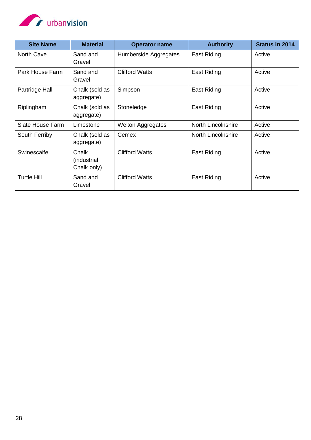

| <b>Site Name</b>        | <b>Material</b>                      | <b>Operator name</b>     | <b>Authority</b>          | Status in 2014 |
|-------------------------|--------------------------------------|--------------------------|---------------------------|----------------|
| North Cave              | Sand and<br>Gravel                   | Humberside Aggregates    | <b>East Riding</b>        | Active         |
| Park House Farm         | Sand and<br>Gravel                   | <b>Clifford Watts</b>    | <b>East Riding</b>        | Active         |
| Partridge Hall          | Chalk (sold as<br>aggregate)         | Simpson                  | <b>East Riding</b>        | Active         |
| Riplingham              | Chalk (sold as<br>aggregate)         | Stoneledge               | <b>East Riding</b>        | Active         |
| <b>Slate House Farm</b> | Limestone                            | <b>Welton Aggregates</b> | <b>North Lincolnshire</b> | Active         |
| South Ferriby           | Chalk (sold as<br>aggregate)         | Cemex                    | North Lincolnshire        | Active         |
| Swinescaife             | Chalk<br>(industrial)<br>Chalk only) | <b>Clifford Watts</b>    | <b>East Riding</b>        | Active         |
| <b>Turtle Hill</b>      | Sand and<br>Gravel                   | <b>Clifford Watts</b>    | <b>East Riding</b>        | Active         |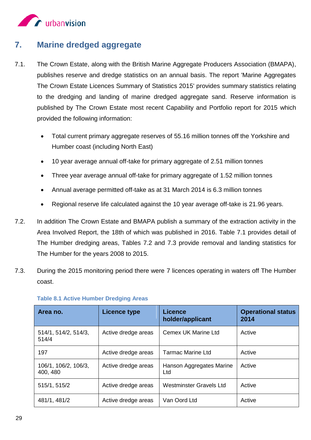

## <span id="page-36-0"></span>**7. Marine dredged aggregate**

- 7.1. The Crown Estate, along with the British Marine Aggregate Producers Association (BMAPA), publishes reserve and dredge statistics on an annual basis. The report 'Marine Aggregates The Crown Estate Licences Summary of Statistics 2015' provides summary statistics relating to the dredging and landing of marine dredged aggregate sand. Reserve information is published by The Crown Estate most recent Capability and Portfolio report for 2015 which provided the following information:
	- Total current primary aggregate reserves of 55.16 million tonnes off the Yorkshire and Humber coast (including North East)
	- 10 year average annual off-take for primary aggregate of 2.51 million tonnes
	- Three year average annual off-take for primary aggregate of 1.52 million tonnes
	- Annual average permitted off-take as at 31 March 2014 is 6.3 million tonnes
	- Regional reserve life calculated against the 10 year average off-take is 21.96 years.
- 7.2. In addition The Crown Estate and BMAPA publish a summary of the extraction activity in the Area Involved Report, the 18th of which was published in 2016. Table 7.1 provides detail of The Humber dredging areas, Tables 7.2 and 7.3 provide removal and landing statistics for The Humber for the years 2008 to 2015.
- 7.3. During the 2015 monitoring period there were 7 licences operating in waters off The Humber coast.

| Area no.                         | <b>Licence type</b> | <b>Licence</b><br>holder/applicant | <b>Operational status</b><br>2014 |
|----------------------------------|---------------------|------------------------------------|-----------------------------------|
| 514/1, 514/2, 514/3,<br>514/4    | Active dredge areas | Cemex UK Marine Ltd                | Active                            |
| 197                              | Active dredge areas | <b>Tarmac Marine Ltd</b>           | Active                            |
| 106/1, 106/2, 106/3,<br>400, 480 | Active dredge areas | Hanson Aggregates Marine<br>Ltd    | Active                            |
| 515/1, 515/2                     | Active dredge areas | Westminster Gravels Ltd            | Active                            |
| 481/1, 481/2                     | Active dredge areas | Van Oord Ltd                       | Active                            |

#### **Table 8.1 Active Humber Dredging Areas**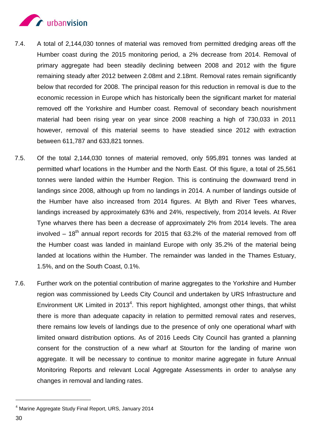

- 7.4. A total of 2,144,030 tonnes of material was removed from permitted dredging areas off the Humber coast during the 2015 monitoring period, a 2% decrease from 2014. Removal of primary aggregate had been steadily declining between 2008 and 2012 with the figure remaining steady after 2012 between 2.08mt and 2.18mt. Removal rates remain significantly below that recorded for 2008. The principal reason for this reduction in removal is due to the economic recession in Europe which has historically been the significant market for material removed off the Yorkshire and Humber coast. Removal of secondary beach nourishment material had been rising year on year since 2008 reaching a high of 730,033 in 2011 however, removal of this material seems to have steadied since 2012 with extraction between 611,787 and 633,821 tonnes.
- 7.5. Of the total 2,144,030 tonnes of material removed, only 595,891 tonnes was landed at permitted wharf locations in the Humber and the North East. Of this figure, a total of 25,561 tonnes were landed within the Humber Region. This is continuing the downward trend in landings since 2008, although up from no landings in 2014. A number of landings outside of the Humber have also increased from 2014 figures. At Blyth and River Tees wharves, landings increased by approximately 63% and 24%, respectively, from 2014 levels. At River Tyne wharves there has been a decrease of approximately 2% from 2014 levels. The area involved  $-18<sup>th</sup>$  annual report records for 2015 that 63.2% of the material removed from off the Humber coast was landed in mainland Europe with only 35.2% of the material being landed at locations within the Humber. The remainder was landed in the Thames Estuary, 1.5%, and on the South Coast, 0.1%.
- 7.6. Further work on the potential contribution of marine aggregates to the Yorkshire and Humber region was commissioned by Leeds City Council and undertaken by URS Infrastructure and Environment UK Limited in 2013<sup>4</sup>. This report highlighted, amongst other things, that whilst there is more than adequate capacity in relation to permitted removal rates and reserves, there remains low levels of landings due to the presence of only one operational wharf with limited onward distribution options. As of 2016 Leeds City Council has granted a planning consent for the construction of a new wharf at Stourton for the landing of marine won aggregate. It will be necessary to continue to monitor marine aggregate in future Annual Monitoring Reports and relevant Local Aggregate Assessments in order to analyse any changes in removal and landing rates.

-

<sup>4</sup> Marine Aggregate Study Final Report, URS, January 2014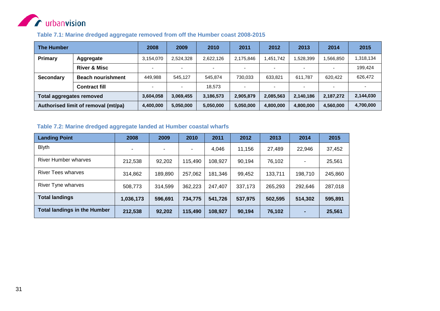

#### **Table 7.1: Marine dredged aggregate removed from off the Humber coast 2008-2015**

| <b>The Humber</b>               |                                     | 2008                     | 2009      | 2010      | 2011      | 2012      | 2013      | 2014                     | 2015      |
|---------------------------------|-------------------------------------|--------------------------|-----------|-----------|-----------|-----------|-----------|--------------------------|-----------|
| Primary                         | Aggregate                           | 3,154,070                | 2,524,328 | 2.622.126 | 2,175,846 | 1,451,742 | .528,399  | .566.850                 | 1,318,134 |
|                                 | <b>River &amp; Misc</b>             | $\overline{\phantom{0}}$ |           | -         | -         |           |           | $\overline{\phantom{a}}$ | 199.424   |
| Secondary                       | <b>Beach nourishment</b>            | 449.988                  | 545.127   | 545.874   | 730.033   | 633,821   | 611.787   | 620.422                  | 626,472   |
|                                 | <b>Contract fill</b>                | $\overline{\phantom{0}}$ |           | 18.573    |           |           |           | $\overline{\phantom{0}}$ |           |
| <b>Total aggregates removed</b> |                                     | 3,604,058                | 3,069,455 | 3,186,573 | 2,905,879 | 2,085,563 | 2,140,186 | 2,187,272                | 2,144,030 |
|                                 | Authorised limit of removal (mt/pa) | 4,400,000                | 5,050,000 | 5,050,000 | 5,050,000 | 4,800,000 | 4,800,000 | 4,560,000                | 4,700,000 |

#### **Table 7.2: Marine dredged aggregate landed at Humber coastal wharfs**

<span id="page-38-1"></span><span id="page-38-0"></span>

| <b>Landing Point</b>                | 2008      | 2009    | 2010                     | 2011    | 2012    | 2013    | 2014    | 2015    |
|-------------------------------------|-----------|---------|--------------------------|---------|---------|---------|---------|---------|
| <b>Blyth</b>                        |           |         | $\overline{\phantom{0}}$ | 4,046   | 11.156  | 27,489  | 22.946  | 37,452  |
| River Humber wharves                | 212,538   | 92,202  | 115,490                  | 108,927 | 90,194  | 76,102  | ۰       | 25,561  |
| <b>River Tees wharves</b>           | 314,862   | 189,890 | 257,062                  | 181,346 | 99,452  | 133,711 | 198,710 | 245,860 |
| River Tyne wharves                  | 508,773   | 314.599 | 362,223                  | 247,407 | 337,173 | 265,293 | 292.646 | 287,018 |
| <b>Total landings</b>               | 1,036,173 | 596,691 | 734,775                  | 541,726 | 537,975 | 502,595 | 514,302 | 595,891 |
| <b>Total landings in the Humber</b> | 212,538   | 92,202  | 115,490                  | 108,927 | 90,194  | 76,102  | ٠       | 25,561  |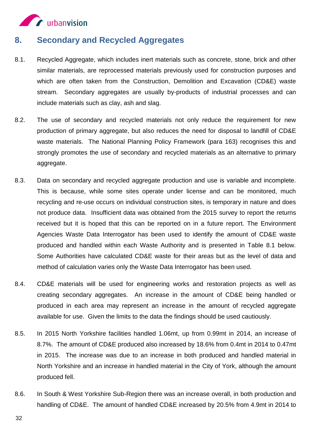

## <span id="page-39-0"></span>**8. Secondary and Recycled Aggregates**

- 8.1. Recycled Aggregate, which includes inert materials such as concrete, stone, brick and other similar materials, are reprocessed materials previously used for construction purposes and which are often taken from the Construction, Demolition and Excavation (CD&E) waste stream. Secondary aggregates are usually by-products of industrial processes and can include materials such as clay, ash and slag.
- 8.2. The use of secondary and recycled materials not only reduce the requirement for new production of primary aggregate, but also reduces the need for disposal to landfill of CD&E waste materials. The National Planning Policy Framework (para 163) recognises this and strongly promotes the use of secondary and recycled materials as an alternative to primary aggregate.
- 8.3. Data on secondary and recycled aggregate production and use is variable and incomplete. This is because, while some sites operate under license and can be monitored, much recycling and re-use occurs on individual construction sites, is temporary in nature and does not produce data. Insufficient data was obtained from the 2015 survey to report the returns received but it is hoped that this can be reported on in a future report. The Environment Agencies Waste Data Interrogator has been used to identify the amount of CD&E waste produced and handled within each Waste Authority and is presented in Table 8.1 below. Some Authorities have calculated CD&E waste for their areas but as the level of data and method of calculation varies only the Waste Data Interrogator has been used.
- 8.4. CD&E materials will be used for engineering works and restoration projects as well as creating secondary aggregates. An increase in the amount of CD&E being handled or produced in each area may represent an increase in the amount of recycled aggregate available for use. Given the limits to the data the findings should be used cautiously.
- 8.5. In 2015 North Yorkshire facilities handled 1.06mt, up from 0.99mt in 2014, an increase of 8.7%. The amount of CD&E produced also increased by 18.6% from 0.4mt in 2014 to 0.47mt in 2015. The increase was due to an increase in both produced and handled material in North Yorkshire and an increase in handled material in the City of York, although the amount produced fell.
- 8.6. In South & West Yorkshire Sub-Region there was an increase overall, in both production and handling of CD&E. The amount of handled CD&E increased by 20.5% from 4.9mt in 2014 to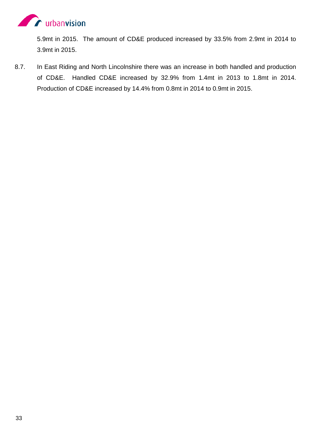

5.9mt in 2015. The amount of CD&E produced increased by 33.5% from 2.9mt in 2014 to 3.9mt in 2015.

8.7. In East Riding and North Lincolnshire there was an increase in both handled and production of CD&E. Handled CD&E increased by 32.9% from 1.4mt in 2013 to 1.8mt in 2014. Production of CD&E increased by 14.4% from 0.8mt in 2014 to 0.9mt in 2015.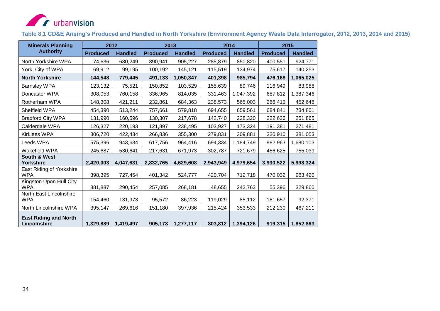

**Table 8.1 CD&E Arising's Produced and Handled in North Yorkshire (Environment Agency Waste Data Interrogator, 2012, 2013, 2014 and 2015)**

<span id="page-41-0"></span>

| <b>Minerals Planning</b>                     |                 | 2012           |                 | 2013           | 2014            |                | 2015            |                |  |
|----------------------------------------------|-----------------|----------------|-----------------|----------------|-----------------|----------------|-----------------|----------------|--|
| <b>Authority</b>                             | <b>Produced</b> | <b>Handled</b> | <b>Produced</b> | <b>Handled</b> | <b>Produced</b> | <b>Handled</b> | <b>Produced</b> | <b>Handled</b> |  |
| North Yorkshire WPA                          | 74,636          | 680,249        | 390,941         | 905,227        | 285,879         | 850,820        | 400,551         | 924,771        |  |
| York, City of WPA                            | 69,912          | 99,195         | 100,192         | 145,121        | 115,519         | 134,974        | 75,617          | 140,253        |  |
| <b>North Yorkshire</b>                       | 144,548         | 779,445        | 491,133         | 1,050,347      | 401,398         | 985,794        | 476,168         | 1,065,025      |  |
| Barnsley WPA                                 | 123,132         | 75,521         | 150,852         | 103,529        | 155,639         | 89,746         | 116,949         | 83,988         |  |
| Doncaster WPA                                | 308,053         | 760,158        | 336,965         | 814,035        | 331,463         | 1,047,392      | 687,812         | 1,387,346      |  |
| Rotherham WPA                                | 148,308         | 421,211        | 232,861         | 684,363        | 238,573         | 565,003        | 266,415         | 452,648        |  |
| Sheffield WPA                                | 454,390         | 513,244        | 757,661         | 579,818        | 694,655         | 659,561        | 684,841         | 734,801        |  |
| <b>Bradford City WPA</b>                     | 131,990         | 160,596        | 130,307         | 217,678        | 142,740         | 228,320        | 222,626         | 251,865        |  |
| Calderdale WPA                               | 126,327         | 220,193        | 121,897         | 238,495        | 103,927         | 173,324        | 191,381         | 271,481        |  |
| Kirklees WPA                                 | 306,720         | 422,434        | 266,836         | 355,300        | 279,831         | 309,881        | 320,910         | 381,053        |  |
| Leeds WPA                                    | 575,396         | 943,634        | 617,756         | 964,416        | 694,334         | 1,184,749      | 982,963         | 1,680,103      |  |
| Wakefield WPA                                | 245,687         | 530,641        | 217,631         | 671,973        | 302,787         | 721,679        | 456,625         | 755,039        |  |
| <b>South &amp; West</b><br><b>Yorkshire</b>  | 2,420,003       | 4,047,631      | 2,832,765       | 4,629,608      | 2,943,949       | 4,979,654      | 3,930,522       | 5,998,324      |  |
| East Riding of Yorkshire<br><b>WPA</b>       | 398,395         | 727,454        | 401,342         | 524,777        | 420,704         | 712,718        | 470,032         | 963,420        |  |
| Kingston Upon Hull City<br><b>WPA</b>        | 381,887         | 290,454        | 257,085         | 268,181        | 48,655          | 242,763        | 55,396          | 329,860        |  |
| North East Lincolnshire<br><b>WPA</b>        | 154,460         | 131,973        | 95,572          | 86,223         | 119,029         | 85,112         | 181,657         | 92,371         |  |
| North Lincolnshire WPA                       | 395,147         | 269,616        | 151,180         | 397,936        | 215,424         | 353,533        | 212,230         | 467,211        |  |
| <b>East Riding and North</b><br>Lincolnshire | 1,329,889       | 1,419,497      | 905,178         | 1,277,117      | 803,812         | 1,394,126      | 919,315         | 1,852,863      |  |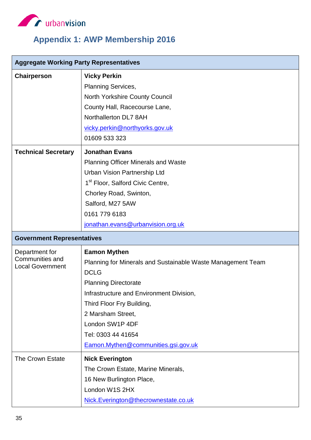

# <span id="page-42-0"></span>**Appendix 1: AWP Membership 2016**

| <b>Aggregate Working Party Representatives</b> |                                                             |
|------------------------------------------------|-------------------------------------------------------------|
| <b>Chairperson</b>                             | <b>Vicky Perkin</b>                                         |
|                                                | <b>Planning Services,</b>                                   |
|                                                | <b>North Yorkshire County Council</b>                       |
|                                                | County Hall, Racecourse Lane,                               |
|                                                | Northallerton DL7 8AH                                       |
|                                                | vicky.perkin@northyorks.gov.uk                              |
|                                                | 01609 533 323                                               |
| <b>Technical Secretary</b>                     | <b>Jonathan Evans</b>                                       |
|                                                | <b>Planning Officer Minerals and Waste</b>                  |
|                                                | <b>Urban Vision Partnership Ltd</b>                         |
|                                                | 1 <sup>st</sup> Floor, Salford Civic Centre,                |
|                                                | Chorley Road, Swinton,                                      |
|                                                | Salford, M27 5AW                                            |
|                                                | 0161 779 6183                                               |
|                                                | jonathan.evans@urbanvision.org.uk                           |
| <b>Government Representatives</b>              |                                                             |
| Department for                                 | <b>Eamon Mythen</b>                                         |
| Communities and<br><b>Local Government</b>     | Planning for Minerals and Sustainable Waste Management Team |
|                                                | <b>DCLG</b>                                                 |
|                                                | <b>Planning Directorate</b>                                 |
|                                                | Infrastructure and Environment Division,                    |
|                                                | Third Floor Fry Building,                                   |
|                                                | 2 Marsham Street,                                           |
|                                                | London SW1P 4DF                                             |
|                                                | Tel: 0303 44 41654                                          |
|                                                | Eamon.Mythen@communities.gsi.gov.uk                         |
|                                                |                                                             |
| <b>The Crown Estate</b>                        | <b>Nick Everington</b>                                      |
|                                                | The Crown Estate, Marine Minerals,                          |
|                                                | 16 New Burlington Place,                                    |
|                                                | London W1S 2HX                                              |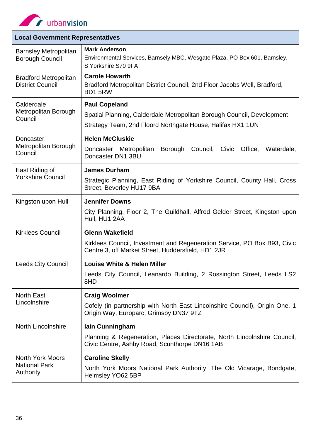

r

| <b>Local Government Representatives</b>                      |                                                                                                                                                              |
|--------------------------------------------------------------|--------------------------------------------------------------------------------------------------------------------------------------------------------------|
| <b>Barnsley Metropolitan</b><br><b>Borough Council</b>       | <b>Mark Anderson</b><br>Environmental Services, Barnsely MBC, Wesgate Plaza, PO Box 601, Barnsley,<br>S Yorkshire S70 9FA                                    |
| <b>Bradford Metropolitan</b><br><b>District Council</b>      | <b>Carole Howarth</b><br>Bradford Metropolitan District Council, 2nd Floor Jacobs Well, Bradford,<br>BD15RW                                                  |
| Calderdale<br>Metropolitan Borough<br>Council                | <b>Paul Copeland</b><br>Spatial Planning, Calderdale Metropolitan Borough Council, Development<br>Strategy Team, 2nd Floord Northgate House, Halifax HX1 1UN |
| Doncaster<br>Metropolitan Borough<br>Council                 | <b>Helen McCluskie</b><br>Doncaster Metropolitan<br>Borough Council, Civic<br>Office,<br>Waterdale,<br>Doncaster DN1 3BU                                     |
| East Riding of<br><b>Yorkshire Council</b>                   | <b>James Durham</b><br>Strategic Planning, East Riding of Yorkshire Council, County Hall, Cross<br>Street, Beverley HU17 9BA                                 |
| Kingston upon Hull                                           | <b>Jennifer Downs</b><br>City Planning, Floor 2, The Guildhall, Alfred Gelder Street, Kingston upon<br>Hull, HU1 2AA                                         |
| <b>Kirklees Council</b>                                      | <b>Glenn Wakefield</b><br>Kirklees Council, Investment and Regeneration Service, PO Box B93, Civic<br>Centre 3, off Market Street, Huddersfield, HD1 2JR     |
| <b>Leeds City Council</b>                                    | <b>Louise White &amp; Helen Miller</b><br>Leeds City Council, Leanardo Building, 2 Rossington Street, Leeds LS2<br>8HD                                       |
| <b>North East</b><br>Lincolnshire                            | <b>Craig Woolmer</b><br>Cofely (in partnership with North East Lincolnshire Council), Origin One, 1<br>Origin Way, Europarc, Grimsby DN37 9TZ                |
| <b>North Lincolnshire</b>                                    | lain Cunningham<br>Planning & Regeneration, Places Directorate, North Lincolnshire Council,<br>Civic Centre, Ashby Road, Scunthorpe DN16 1AB                 |
| <b>North York Moors</b><br><b>National Park</b><br>Authority | <b>Caroline Skelly</b><br>North York Moors National Park Authority, The Old Vicarage, Bondgate,<br>Helmsley YO62 5BP                                         |

 $\frac{1}{2}$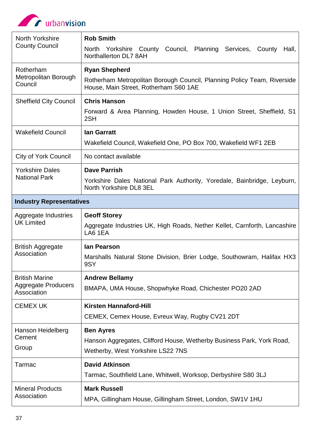

| North Yorkshire<br><b>County Council</b>                           | <b>Rob Smith</b><br>North Yorkshire County Council, Planning Services,<br>County<br>Hall,<br>Northallerton DL7 8AH                       |
|--------------------------------------------------------------------|------------------------------------------------------------------------------------------------------------------------------------------|
| Rotherham<br>Metropolitan Borough<br>Council                       | <b>Ryan Shepherd</b><br>Rotherham Metropolitan Borough Council, Planning Policy Team, Riverside<br>House, Main Street, Rotherham S60 1AE |
| <b>Sheffield City Council</b>                                      | <b>Chris Hanson</b><br>Forward & Area Planning, Howden House, 1 Union Street, Sheffield, S1<br>2SH                                       |
| <b>Wakefield Council</b>                                           | <b>lan Garratt</b><br>Wakefield Council, Wakefield One, PO Box 700, Wakefield WF1 2EB                                                    |
| <b>City of York Council</b>                                        | No contact available                                                                                                                     |
| <b>Yorkshire Dales</b><br><b>National Park</b>                     | <b>Dave Parrish</b><br>Yorkshire Dales National Park Authority, Yoredale, Bainbridge, Leyburn,<br>North Yorkshire DL8 3EL                |
| <b>Industry Representatives</b>                                    |                                                                                                                                          |
| Aggregate Industries<br><b>UK Limited</b>                          | <b>Geoff Storey</b><br>Aggregate Industries UK, High Roads, Nether Kellet, Carnforth, Lancashire<br>LA6 1EA                              |
| <b>British Aggregate</b><br>Association                            | lan Pearson<br>Marshalls Natural Stone Division, Brier Lodge, Southowram, Halifax HX3<br>9SY                                             |
| <b>British Marine</b><br><b>Aggregate Producers</b><br>Association | <b>Andrew Bellamy</b><br>BMAPA, UMA House, Shopwhyke Road, Chichester PO20 2AD                                                           |
| <b>CEMEX UK</b>                                                    | <b>Kirsten Hannaford-Hill</b><br>CEMEX, Cemex House, Evreux Way, Rugby CV21 2DT                                                          |
| Hanson Heidelberg<br>Cement<br>Group                               | <b>Ben Ayres</b><br>Hanson Aggregates, Clifford House, Wetherby Business Park, York Road,<br>Wetherby, West Yorkshire LS22 7NS           |
| Tarmac                                                             | <b>David Atkinson</b><br>Tarmac, Southfield Lane, Whitwell, Worksop, Derbyshire S80 3LJ                                                  |
| <b>Mineral Products</b><br>Association                             | <b>Mark Russell</b><br>MPA, Gillingham House, Gillingham Street, London, SW1V 1HU                                                        |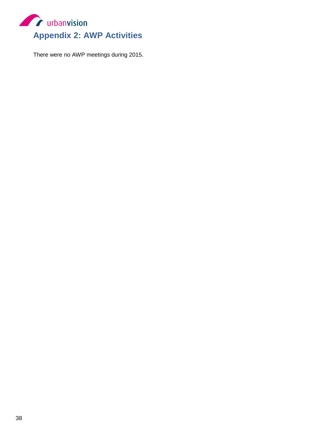<span id="page-45-0"></span>

There were no AWP meetings during 2015.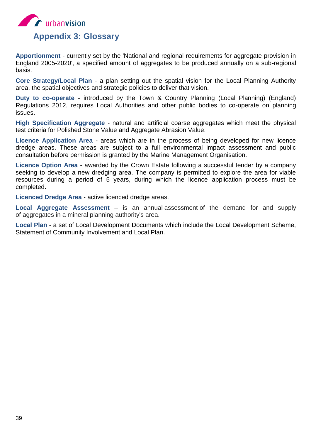<span id="page-46-0"></span>

**Apportionment** - currently set by the 'National and regional requirements for aggregate provision in England 2005-2020', a specified amount of aggregates to be produced annually on a sub-regional basis.

**Core Strategy/Local Plan** - a plan setting out the spatial vision for the Local Planning Authority area, the spatial objectives and strategic policies to deliver that vision.

**Duty to co-operate** - introduced by the Town & Country Planning (Local Planning) (England) Regulations 2012, requires Local Authorities and other public bodies to co-operate on planning issues.

**High Specification Aggregate** - natural and artificial coarse aggregates which meet the physical test criteria for Polished Stone Value and Aggregate Abrasion Value.

**Licence Application Area** - areas which are in the process of being developed for new licence dredge areas. These areas are subject to a full environmental impact assessment and public consultation before permission is granted by the Marine Management Organisation.

**Licence Option Area** - awarded by the Crown Estate following a successful tender by a company seeking to develop a new dredging area. The company is permitted to explore the area for viable resources during a period of 5 years, during which the licence application process must be completed.

**Licenced Dredge Area** - active licenced dredge areas.

**Local Aggregate Assessment** – is an annual assessment of the demand for and supply of aggregates in a mineral planning authority's area.

**Local Plan** - a set of Local Development Documents which include the Local Development Scheme, Statement of Community Involvement and Local Plan.